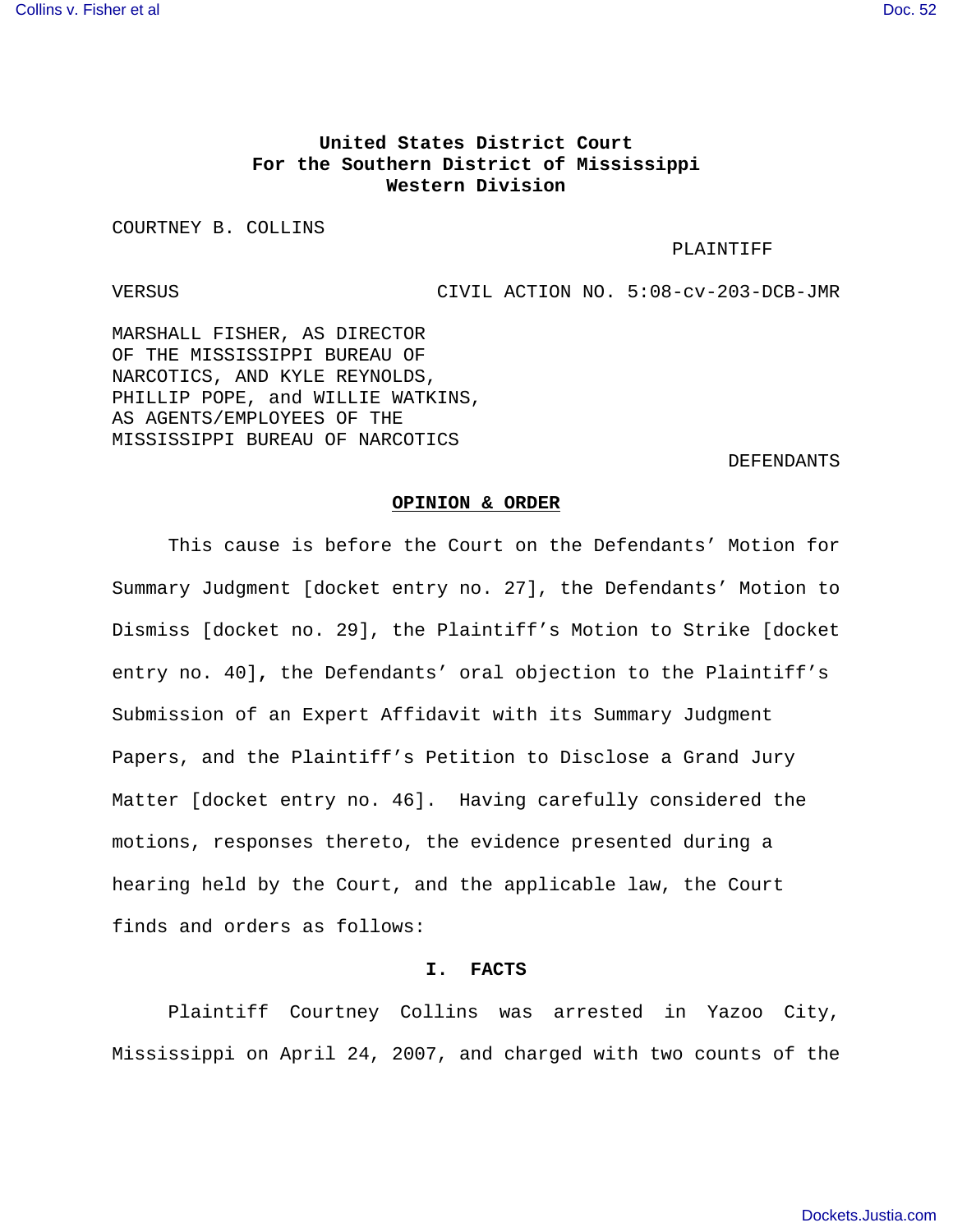# **United States District Court For the Southern District of Mississippi Western Division**

COURTNEY B. COLLINS

#### PLAINTIFF

VERSUS CIVIL ACTION NO. 5:08-cv-203-DCB-JMR

MARSHALL FISHER, AS DIRECTOR OF THE MISSISSIPPI BUREAU OF NARCOTICS, AND KYLE REYNOLDS, PHILLIP POPE, and WILLIE WATKINS, AS AGENTS/EMPLOYEES OF THE MISSISSIPPI BUREAU OF NARCOTICS

DEFENDANTS

#### **OPINION & ORDER**

This cause is before the Court on the Defendants' Motion for Summary Judgment [docket entry no. 27], the Defendants' Motion to Dismiss [docket no. 29], the Plaintiff's Motion to Strike [docket entry no. 40]**,** the Defendants' oral objection to the Plaintiff's Submission of an Expert Affidavit with its Summary Judgment Papers, and the Plaintiff's Petition to Disclose a Grand Jury Matter [docket entry no. 46]. Having carefully considered the motions, responses thereto, the evidence presented during a hearing held by the Court, and the applicable law, the Court finds and orders as follows:

## **I. FACTS**

Plaintiff Courtney Collins was arrested in Yazoo City, Mississippi on April 24, 2007, and charged with two counts of the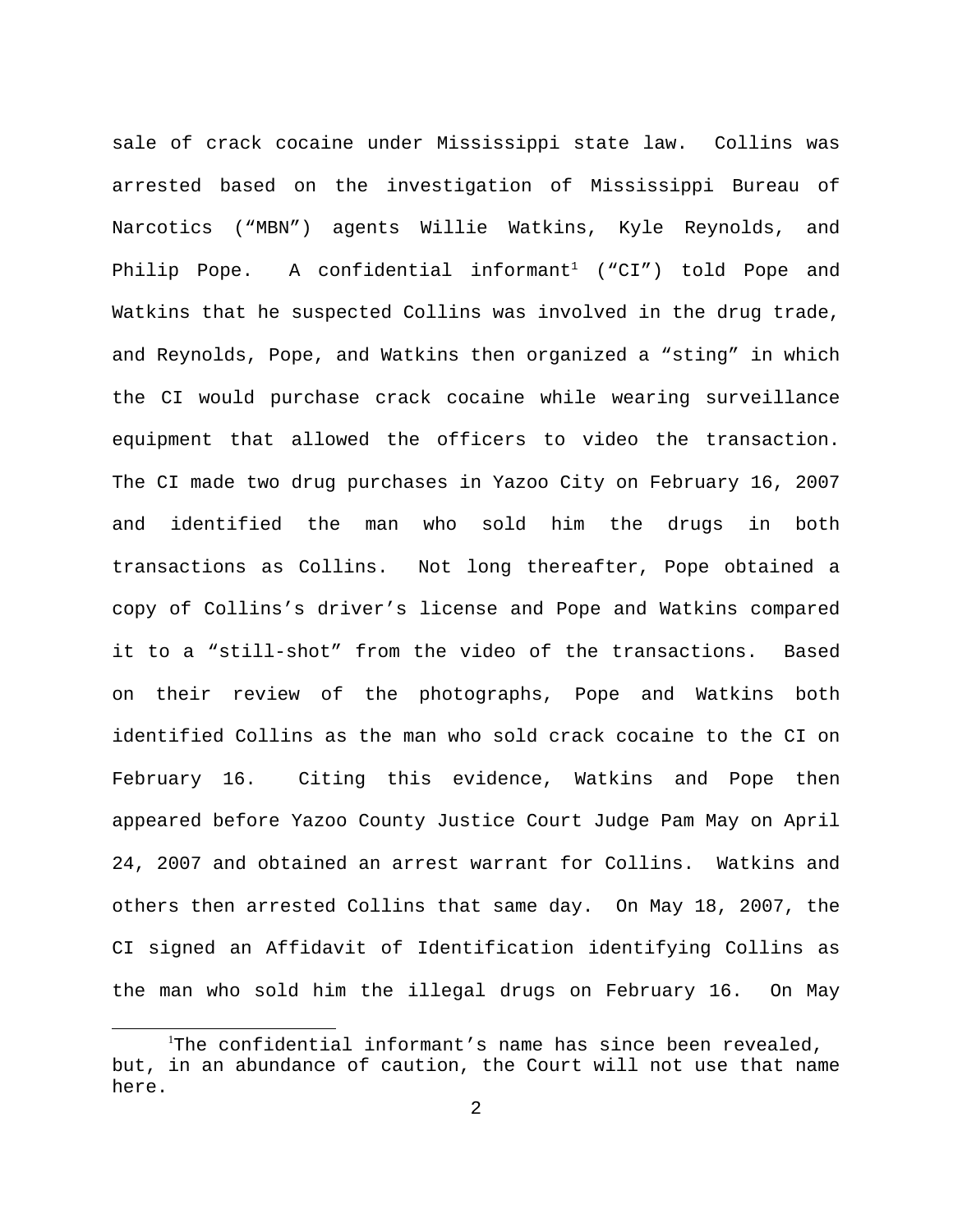sale of crack cocaine under Mississippi state law. Collins was arrested based on the investigation of Mississippi Bureau of Narcotics ("MBN") agents Willie Watkins, Kyle Reynolds, and Philip Pope. A confidential informant<sup>1</sup> ("CI") told Pope and Watkins that he suspected Collins was involved in the drug trade, and Reynolds, Pope, and Watkins then organized a "sting" in which the CI would purchase crack cocaine while wearing surveillance equipment that allowed the officers to video the transaction. The CI made two drug purchases in Yazoo City on February 16, 2007 and identified the man who sold him the drugs in both transactions as Collins. Not long thereafter, Pope obtained a copy of Collins's driver's license and Pope and Watkins compared it to a "still-shot" from the video of the transactions. Based on their review of the photographs, Pope and Watkins both identified Collins as the man who sold crack cocaine to the CI on February 16. Citing this evidence, Watkins and Pope then appeared before Yazoo County Justice Court Judge Pam May on April 24, 2007 and obtained an arrest warrant for Collins. Watkins and others then arrested Collins that same day. On May 18, 2007, the CI signed an Affidavit of Identification identifying Collins as the man who sold him the illegal drugs on February 16. On May

<sup>&</sup>lt;sup>1</sup>The confidential informant's name has since been revealed, but, in an abundance of caution, the Court will not use that name here.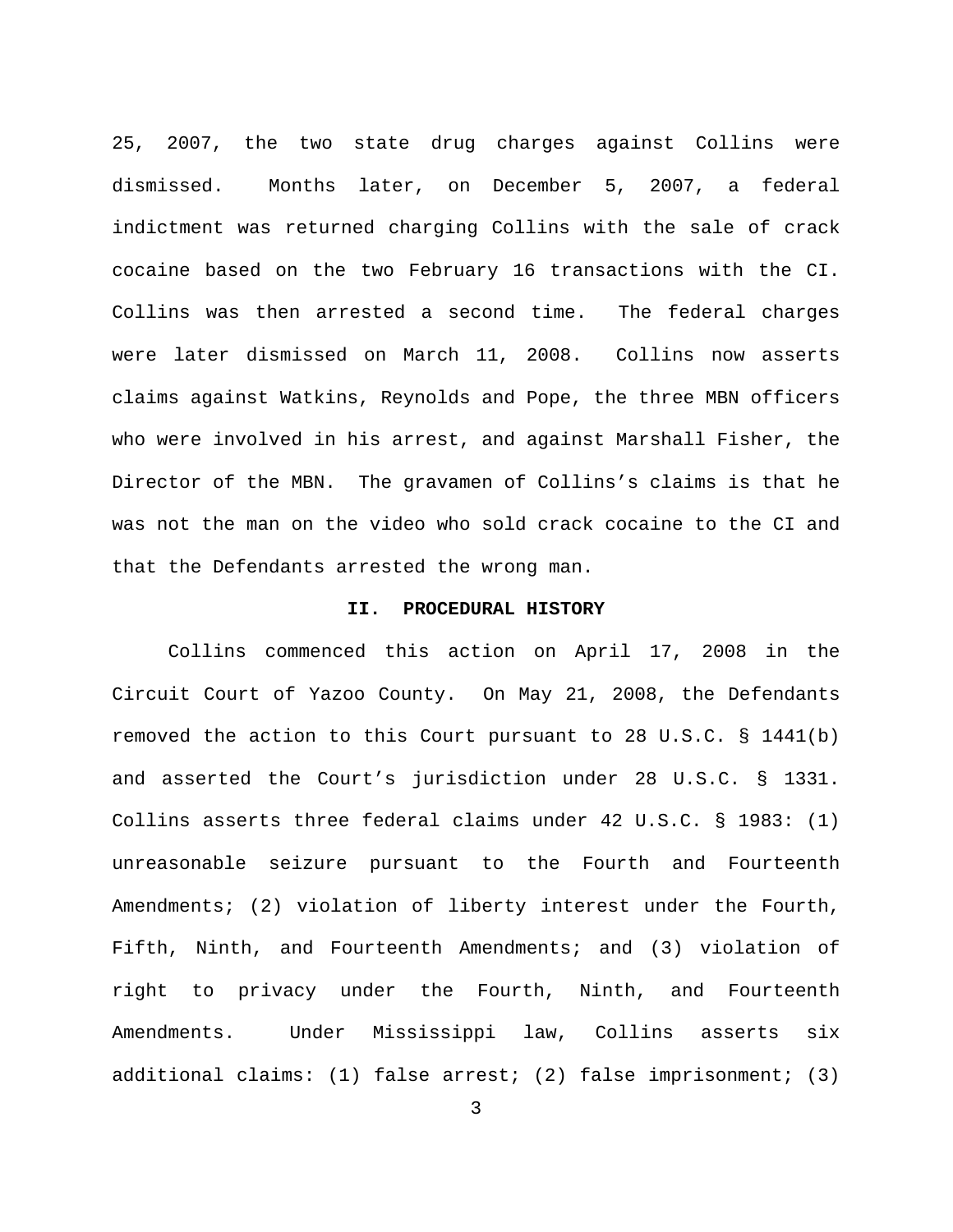25, 2007, the two state drug charges against Collins were dismissed. Months later, on December 5, 2007, a federal indictment was returned charging Collins with the sale of crack cocaine based on the two February 16 transactions with the CI. Collins was then arrested a second time. The federal charges were later dismissed on March 11, 2008. Collins now asserts claims against Watkins, Reynolds and Pope, the three MBN officers who were involved in his arrest, and against Marshall Fisher, the Director of the MBN. The gravamen of Collins's claims is that he was not the man on the video who sold crack cocaine to the CI and that the Defendants arrested the wrong man.

# **II. PROCEDURAL HISTORY**

Collins commenced this action on April 17, 2008 in the Circuit Court of Yazoo County. On May 21, 2008, the Defendants removed the action to this Court pursuant to 28 U.S.C. § 1441(b) and asserted the Court's jurisdiction under 28 U.S.C. § 1331. Collins asserts three federal claims under 42 U.S.C. § 1983: (1) unreasonable seizure pursuant to the Fourth and Fourteenth Amendments; (2) violation of liberty interest under the Fourth, Fifth, Ninth, and Fourteenth Amendments; and (3) violation of right to privacy under the Fourth, Ninth, and Fourteenth Amendments. Under Mississippi law, Collins asserts six additional claims: (1) false arrest; (2) false imprisonment; (3)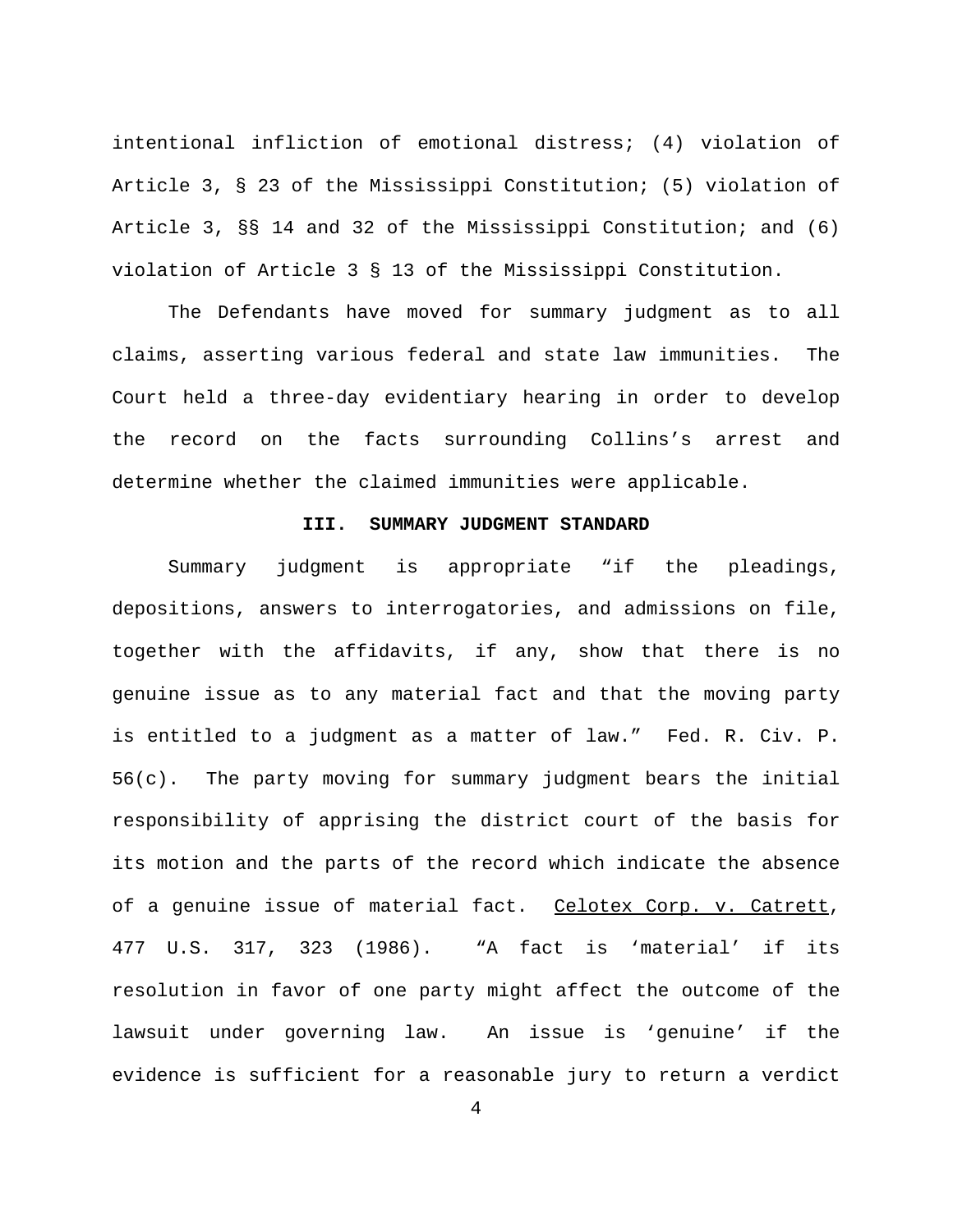intentional infliction of emotional distress; (4) violation of Article 3, § 23 of the Mississippi Constitution; (5) violation of Article 3, §§ 14 and 32 of the Mississippi Constitution; and (6) violation of Article 3 § 13 of the Mississippi Constitution.

The Defendants have moved for summary judgment as to all claims, asserting various federal and state law immunities. The Court held a three-day evidentiary hearing in order to develop the record on the facts surrounding Collins's arrest and determine whether the claimed immunities were applicable.

# **III. SUMMARY JUDGMENT STANDARD**

Summary judgment is appropriate "if the pleadings, depositions, answers to interrogatories, and admissions on file, together with the affidavits, if any, show that there is no genuine issue as to any material fact and that the moving party is entitled to a judgment as a matter of law." Fed. R. Civ. P. 56(c). The party moving for summary judgment bears the initial responsibility of apprising the district court of the basis for its motion and the parts of the record which indicate the absence of a genuine issue of material fact. Celotex Corp. v. Catrett, 477 U.S. 317, 323 (1986). "A fact is 'material' if its resolution in favor of one party might affect the outcome of the lawsuit under governing law. An issue is 'genuine' if the evidence is sufficient for a reasonable jury to return a verdict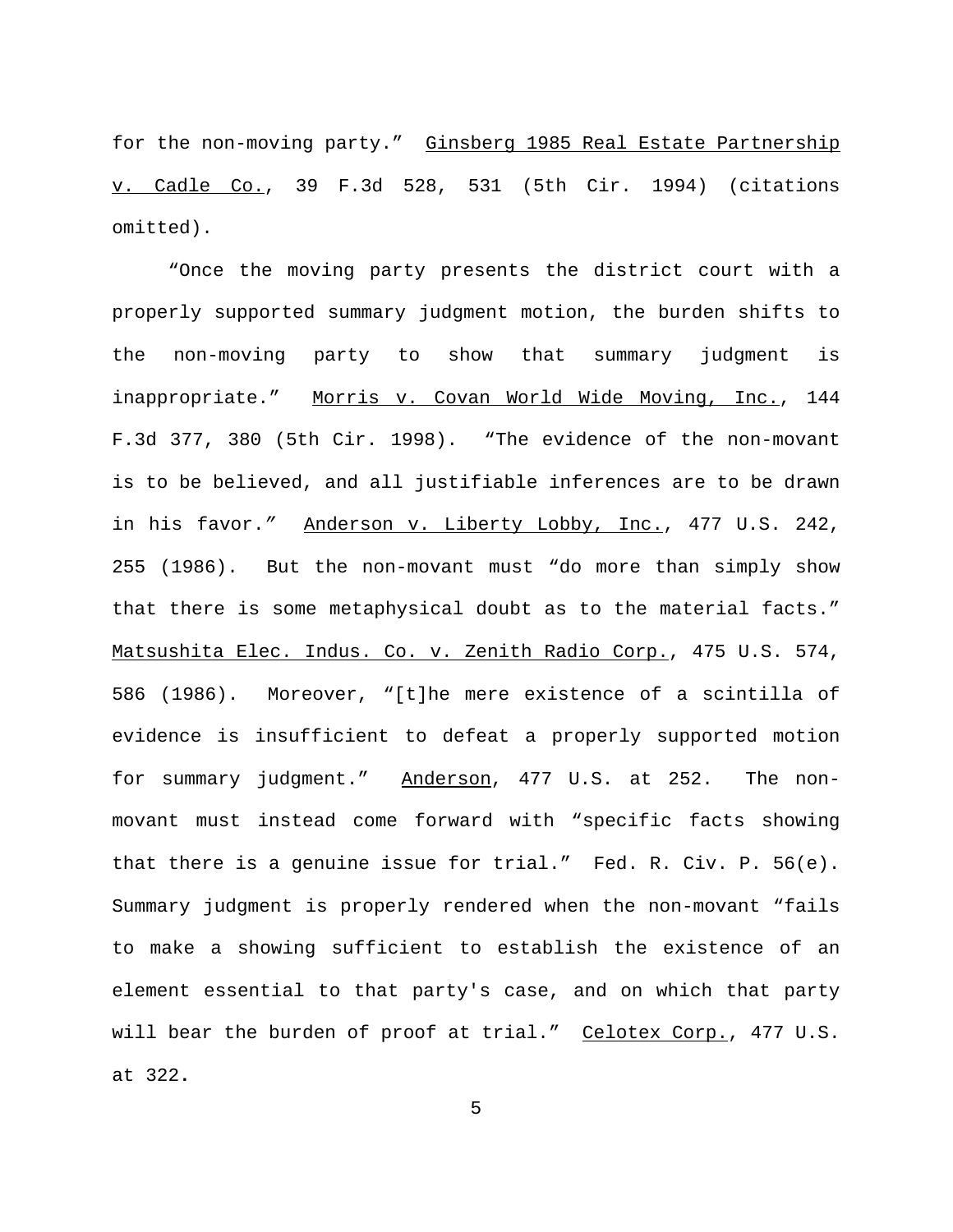for the non-moving party." Ginsberg 1985 Real Estate Partnership v. Cadle Co., 39 F.3d 528, 531 (5th Cir. 1994) (citations omitted).

"Once the moving party presents the district court with a properly supported summary judgment motion, the burden shifts to the non-moving party to show that summary judgment is inappropriate." Morris v. Covan World Wide Moving, Inc., 144 F.3d 377, 380 (5th Cir. 1998). "The evidence of the non-movant is to be believed, and all justifiable inferences are to be drawn in his favor.*"* Anderson v. Liberty Lobby, Inc., 477 U.S. 242, 255 (1986). But the non-movant must "do more than simply show that there is some metaphysical doubt as to the material facts." Matsushita Elec. Indus. Co. v. Zenith Radio Corp., 475 U.S. 574, 586 (1986). Moreover, "[t]he mere existence of a scintilla of evidence is insufficient to defeat a properly supported motion for summary judgment." Anderson, 477 U.S. at 252. The nonmovant must instead come forward with "specific facts showing that there is a genuine issue for trial." Fed. R. Civ. P. 56(e). Summary judgment is properly rendered when the non-movant "fails to make a showing sufficient to establish the existence of an element essential to that party's case, and on which that party will bear the burden of proof at trial." Celotex Corp., 477 U.S. at 322**.**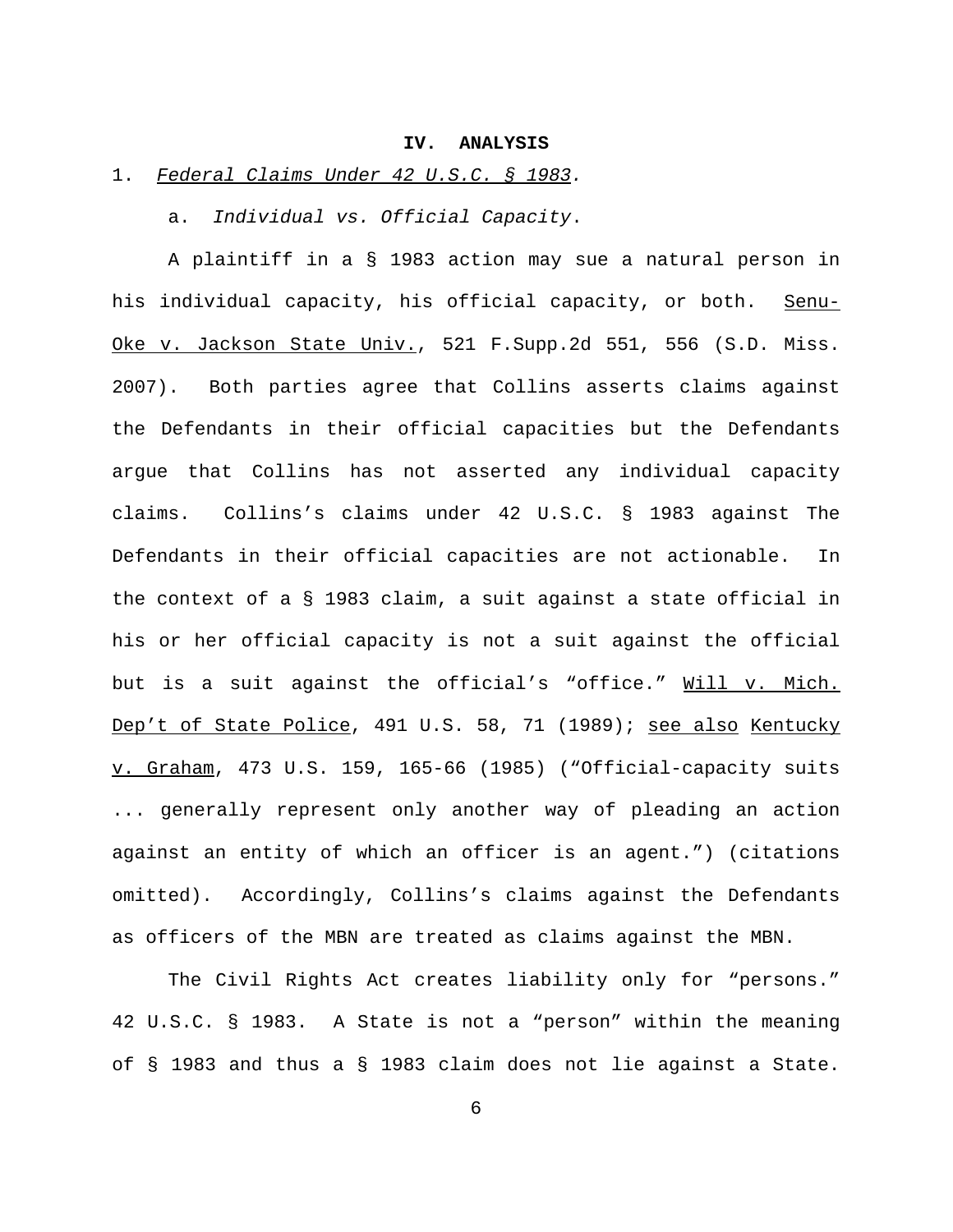### **IV. ANALYSIS**

# 1.*Federal Claims Under 42 U.S.C. § 1983.*

a. *Individual vs. Official Capacity*.

A plaintiff in a § 1983 action may sue a natural person in his individual capacity, his official capacity, or both. Senu-Oke v. Jackson State Univ., 521 F.Supp.2d 551, 556 (S.D. Miss. 2007). Both parties agree that Collins asserts claims against the Defendants in their official capacities but the Defendants argue that Collins has not asserted any individual capacity claims. Collins's claims under 42 U.S.C. § 1983 against The Defendants in their official capacities are not actionable. In the context of a § 1983 claim, a suit against a state official in his or her official capacity is not a suit against the official but is a suit against the official's "office." Will v. Mich. Dep't of State Police, 491 U.S. 58, 71 (1989); see also Kentucky v. Graham, 473 U.S. 159, 165-66 (1985) ("Official-capacity suits ... generally represent only another way of pleading an action against an entity of which an officer is an agent.") (citations omitted). Accordingly, Collins's claims against the Defendants as officers of the MBN are treated as claims against the MBN.

The Civil Rights Act creates liability only for "persons." 42 U.S.C. § 1983. A State is not a "person" within the meaning of § 1983 and thus a § 1983 claim does not lie against a State.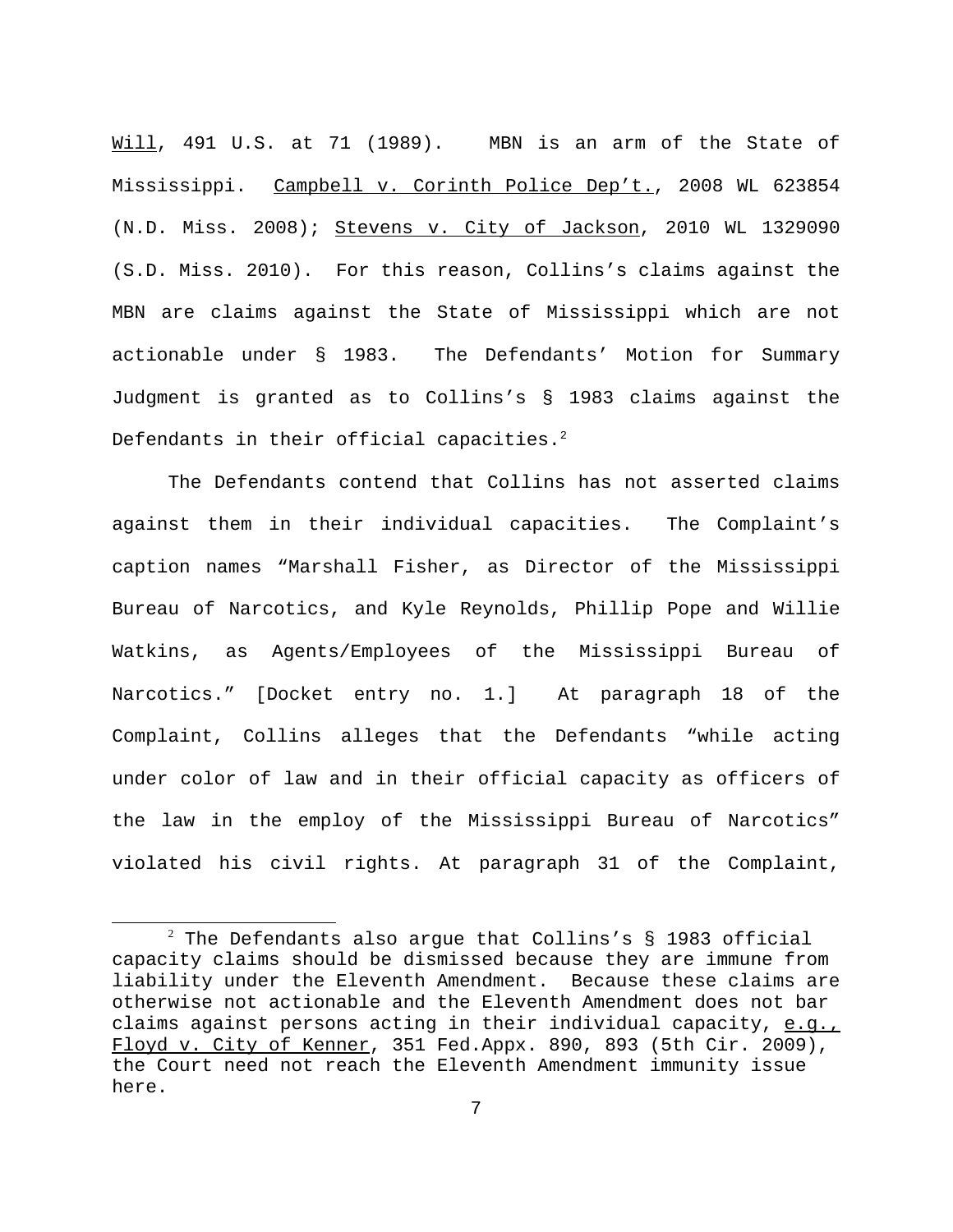Will, 491 U.S. at 71 (1989). MBN is an arm of the State of Mississippi. Campbell v. Corinth Police Dep't., 2008 WL 623854 (N.D. Miss. 2008); Stevens v. City of Jackson, 2010 WL 1329090 (S.D. Miss. 2010). For this reason, Collins's claims against the MBN are claims against the State of Mississippi which are not actionable under § 1983. The Defendants' Motion for Summary Judgment is granted as to Collins's § 1983 claims against the Defendants in their official capacities. $2$ 

The Defendants contend that Collins has not asserted claims against them in their individual capacities. The Complaint's caption names "Marshall Fisher, as Director of the Mississippi Bureau of Narcotics, and Kyle Reynolds, Phillip Pope and Willie Watkins, as Agents/Employees of the Mississippi Bureau of Narcotics." [Docket entry no. 1.] At paragraph 18 of the Complaint, Collins alleges that the Defendants "while acting under color of law and in their official capacity as officers of the law in the employ of the Mississippi Bureau of Narcotics" violated his civil rights. At paragraph 31 of the Complaint,

 $^2$  The Defendants also argue that Collins's § 1983 official capacity claims should be dismissed because they are immune from liability under the Eleventh Amendment. Because these claims are otherwise not actionable and the Eleventh Amendment does not bar claims against persons acting in their individual capacity, e.g., Floyd v. City of Kenner, 351 Fed.Appx. 890, 893 (5th Cir. 2009), the Court need not reach the Eleventh Amendment immunity issue here.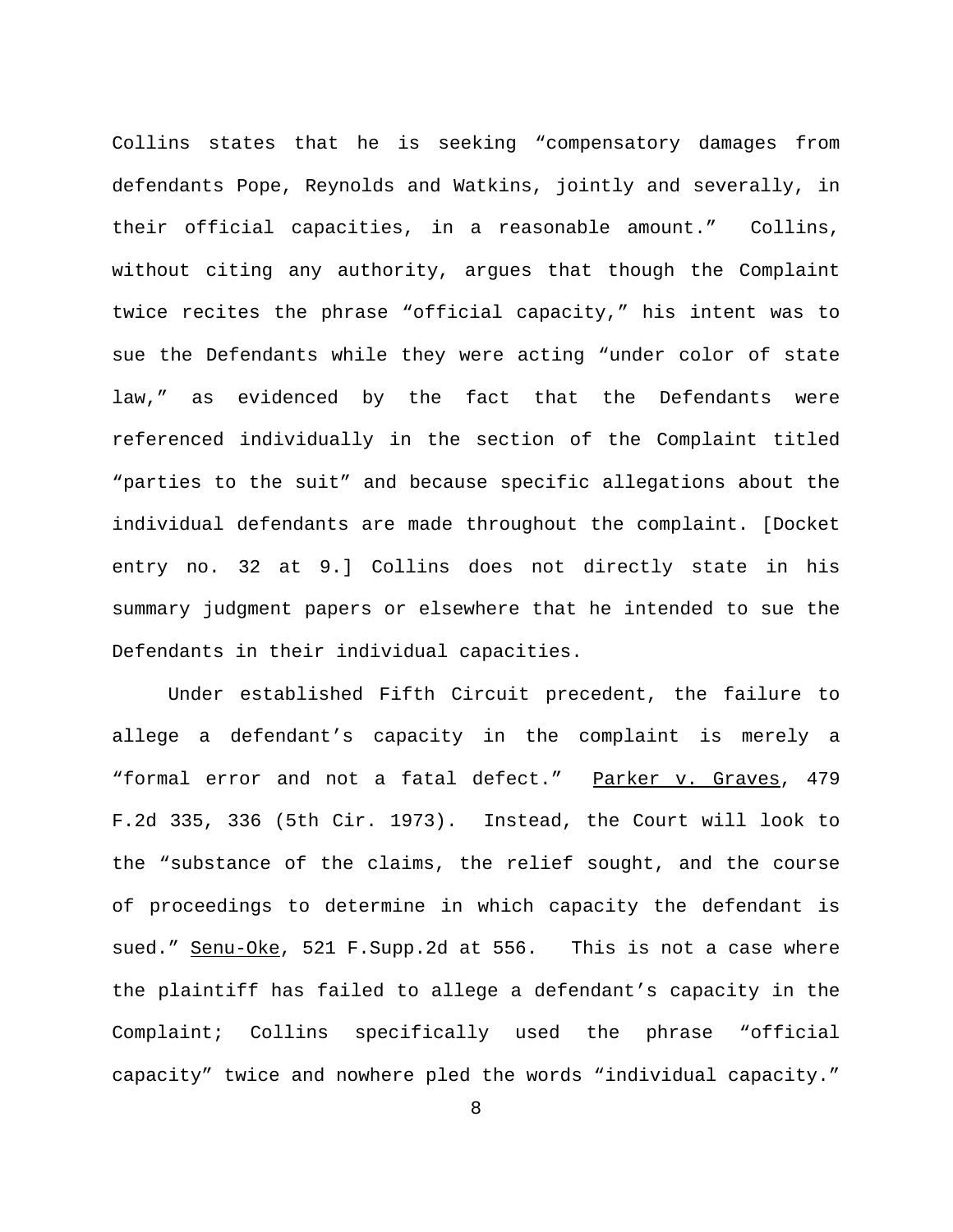Collins states that he is seeking "compensatory damages from defendants Pope, Reynolds and Watkins, jointly and severally, in their official capacities, in a reasonable amount." Collins, without citing any authority, argues that though the Complaint twice recites the phrase "official capacity," his intent was to sue the Defendants while they were acting "under color of state law," as evidenced by the fact that the Defendants were referenced individually in the section of the Complaint titled "parties to the suit" and because specific allegations about the individual defendants are made throughout the complaint. [Docket entry no. 32 at 9.] Collins does not directly state in his summary judgment papers or elsewhere that he intended to sue the Defendants in their individual capacities.

Under established Fifth Circuit precedent, the failure to allege a defendant's capacity in the complaint is merely a "formal error and not a fatal defect." Parker v. Graves, 479 F.2d 335, 336 (5th Cir. 1973). Instead, the Court will look to the "substance of the claims, the relief sought, and the course of proceedings to determine in which capacity the defendant is sued." Senu-Oke, 521 F. Supp. 2d at 556. This is not a case where the plaintiff has failed to allege a defendant's capacity in the Complaint; Collins specifically used the phrase "official capacity" twice and nowhere pled the words "individual capacity."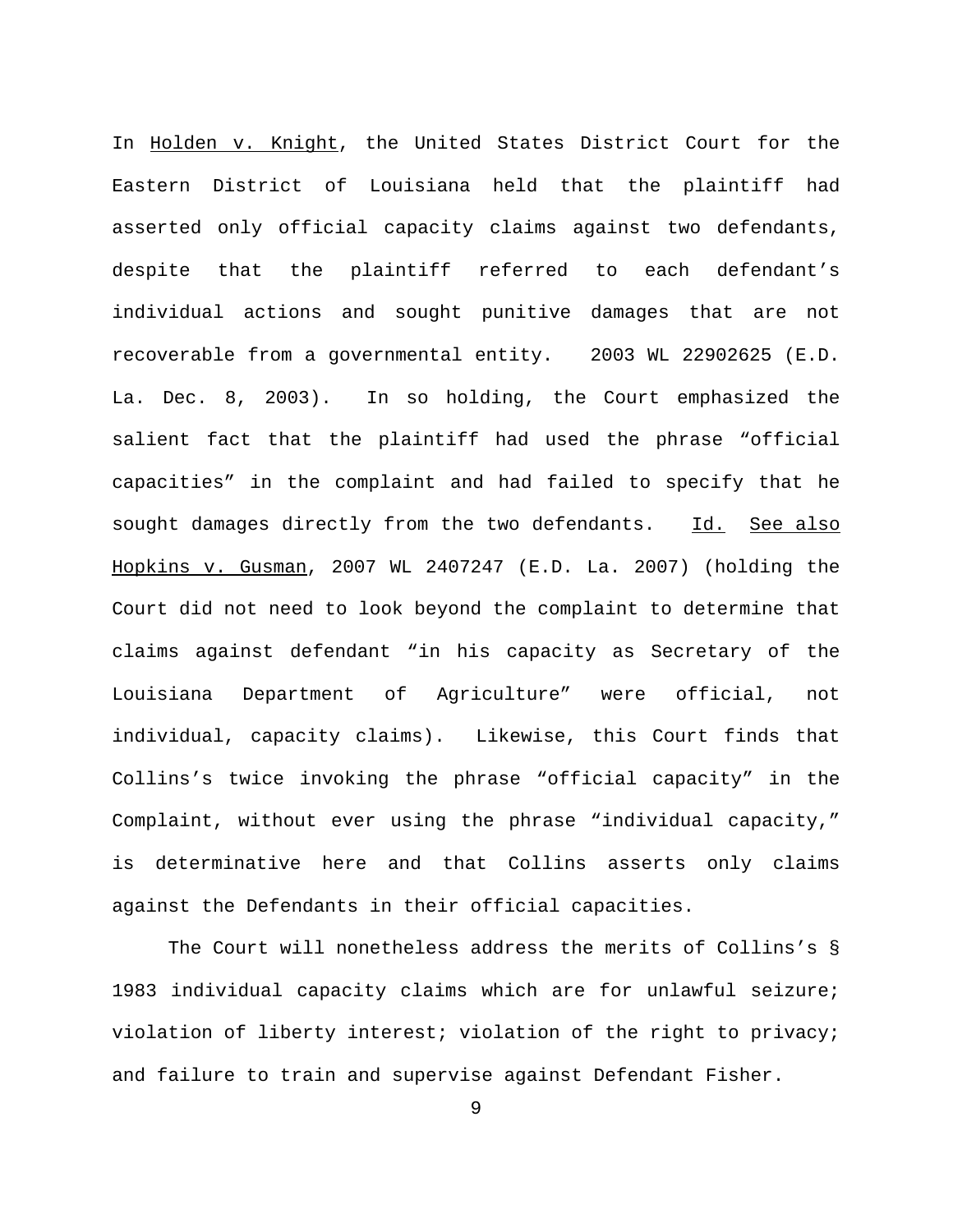In Holden v. Knight, the United States District Court for the Eastern District of Louisiana held that the plaintiff had asserted only official capacity claims against two defendants, despite that the plaintiff referred to each defendant's individual actions and sought punitive damages that are not recoverable from a governmental entity. 2003 WL 22902625 (E.D. La. Dec. 8, 2003). In so holding, the Court emphasized the salient fact that the plaintiff had used the phrase "official capacities" in the complaint and had failed to specify that he sought damages directly from the two defendants. Id. See also Hopkins v. Gusman, 2007 WL 2407247 (E.D. La. 2007) (holding the Court did not need to look beyond the complaint to determine that claims against defendant "in his capacity as Secretary of the Louisiana Department of Agriculture" were official, not individual, capacity claims). Likewise, this Court finds that Collins's twice invoking the phrase "official capacity" in the Complaint, without ever using the phrase "individual capacity," is determinative here and that Collins asserts only claims against the Defendants in their official capacities.

The Court will nonetheless address the merits of Collins's § 1983 individual capacity claims which are for unlawful seizure; violation of liberty interest; violation of the right to privacy; and failure to train and supervise against Defendant Fisher.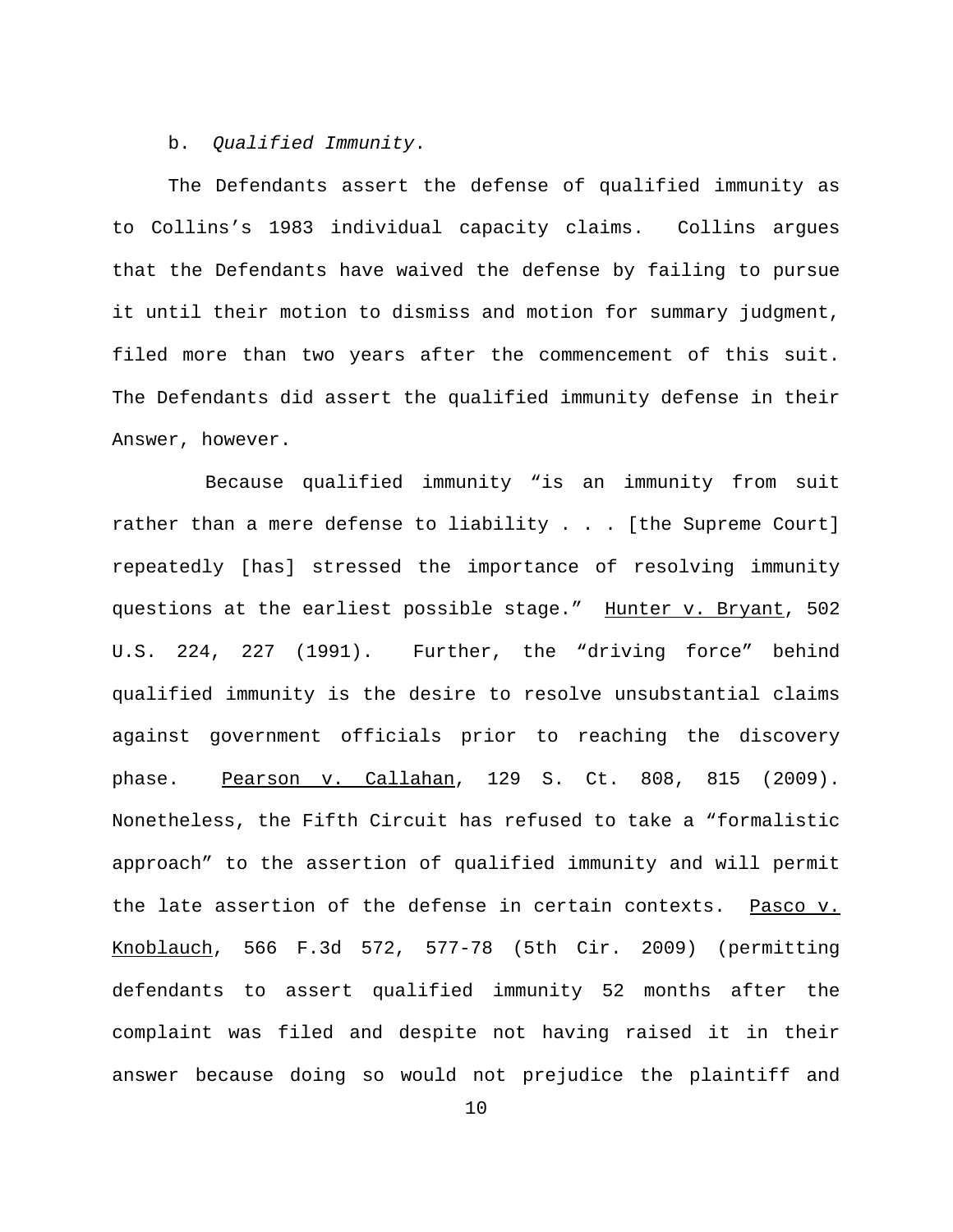b. *Qualified Immunity*.

The Defendants assert the defense of qualified immunity as to Collins's 1983 individual capacity claims. Collins argues that the Defendants have waived the defense by failing to pursue it until their motion to dismiss and motion for summary judgment, filed more than two years after the commencement of this suit. The Defendants did assert the qualified immunity defense in their Answer, however.

 Because qualified immunity "is an immunity from suit rather than a mere defense to liability . . . [the Supreme Court] repeatedly [has] stressed the importance of resolving immunity questions at the earliest possible stage." Hunter v. Bryant, 502 U.S. 224, 227 (1991). Further, the "driving force" behind qualified immunity is the desire to resolve unsubstantial claims against government officials prior to reaching the discovery phase. Pearson v. Callahan, 129 S. Ct. 808, 815 (2009). Nonetheless, the Fifth Circuit has refused to take a "formalistic approach" to the assertion of qualified immunity and will permit the late assertion of the defense in certain contexts. Pasco v. Knoblauch, 566 F.3d 572, 577-78 (5th Cir. 2009) (permitting defendants to assert qualified immunity 52 months after the complaint was filed and despite not having raised it in their answer because doing so would not prejudice the plaintiff and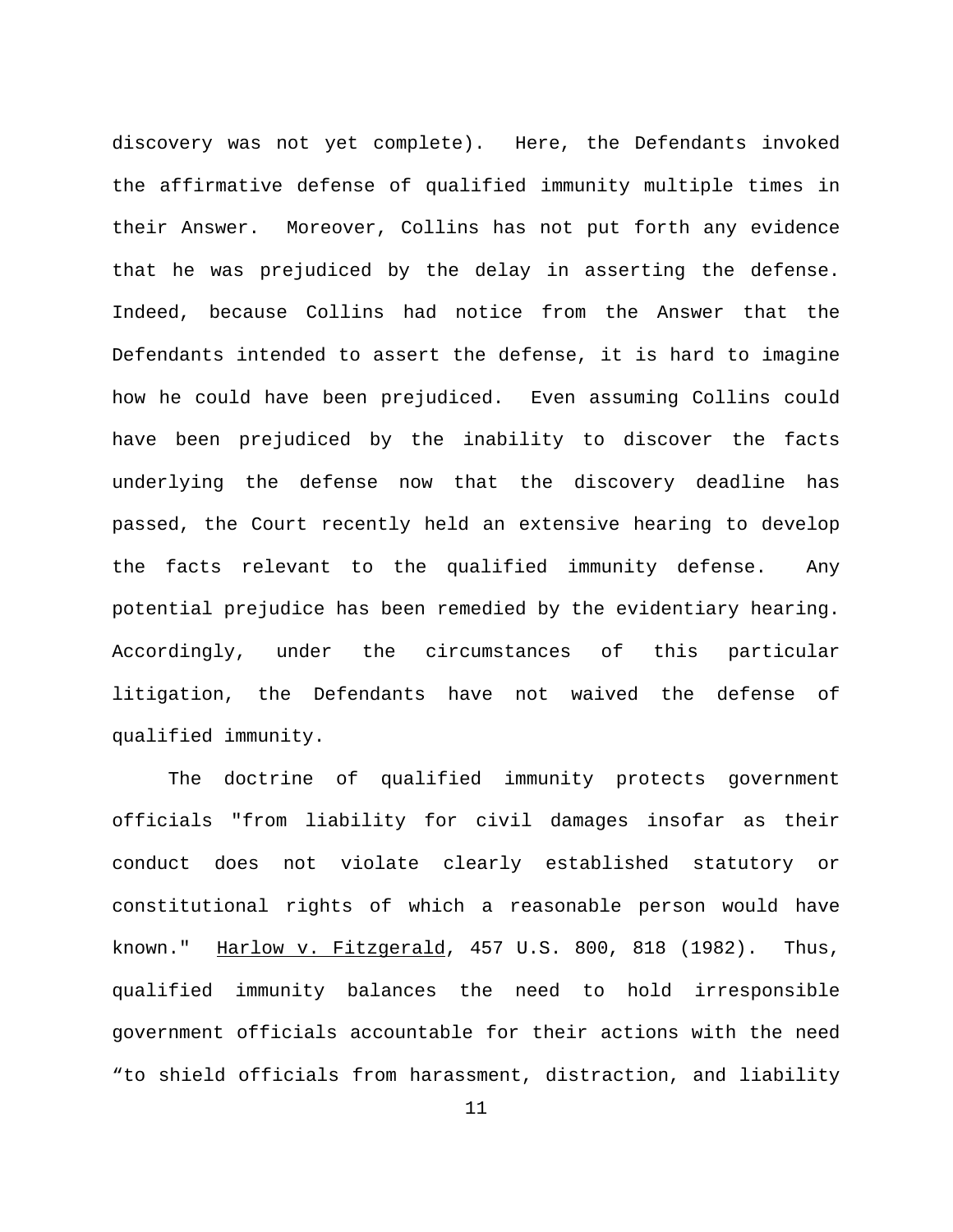discovery was not yet complete). Here, the Defendants invoked the affirmative defense of qualified immunity multiple times in their Answer. Moreover, Collins has not put forth any evidence that he was prejudiced by the delay in asserting the defense. Indeed, because Collins had notice from the Answer that the Defendants intended to assert the defense, it is hard to imagine how he could have been prejudiced. Even assuming Collins could have been prejudiced by the inability to discover the facts underlying the defense now that the discovery deadline has passed, the Court recently held an extensive hearing to develop the facts relevant to the qualified immunity defense. Any potential prejudice has been remedied by the evidentiary hearing. Accordingly, under the circumstances of this particular litigation, the Defendants have not waived the defense of qualified immunity.

The doctrine of qualified immunity protects government officials "from liability for civil damages insofar as their conduct does not violate clearly established statutory or constitutional rights of which a reasonable person would have known." Harlow v. Fitzgerald, 457 U.S. 800, 818 (1982). Thus, qualified immunity balances the need to hold irresponsible government officials accountable for their actions with the need "to shield officials from harassment, distraction, and liability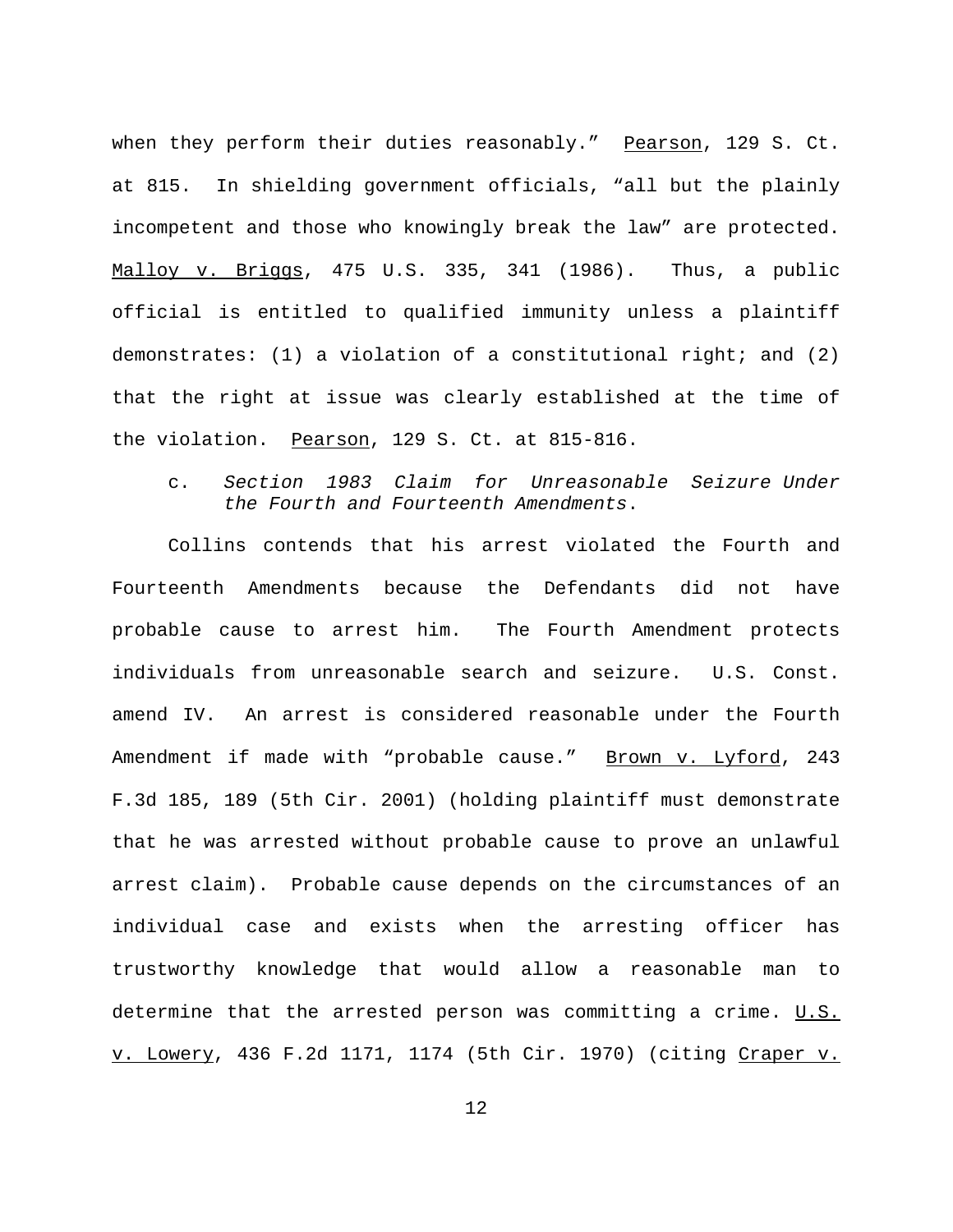when they perform their duties reasonably." Pearson, 129 S. Ct. at 815. In shielding government officials, "all but the plainly incompetent and those who knowingly break the law" are protected. Malloy v. Briggs, 475 U.S. 335, 341 (1986). Thus, a public official is entitled to qualified immunity unless a plaintiff demonstrates:  $(1)$  a violation of a constitutional right; and  $(2)$ that the right at issue was clearly established at the time of the violation. Pearson, 129 S. Ct. at 815-816.

c. *Section 1983 Claim for Unreasonable Seizure Under the Fourth and Fourteenth Amendments*.

Collins contends that his arrest violated the Fourth and Fourteenth Amendments because the Defendants did not have probable cause to arrest him. The Fourth Amendment protects individuals from unreasonable search and seizure. U.S. Const. amend IV. An arrest is considered reasonable under the Fourth Amendment if made with "probable cause." Brown v. Lyford, 243 F.3d 185, 189 (5th Cir. 2001) (holding plaintiff must demonstrate that he was arrested without probable cause to prove an unlawful arrest claim). Probable cause depends on the circumstances of an individual case and exists when the arresting officer has trustworthy knowledge that would allow a reasonable man to determine that the arrested person was committing a crime.  $U.S.$ v. Lowery, 436 F.2d 1171, 1174 (5th Cir. 1970) (citing Craper v.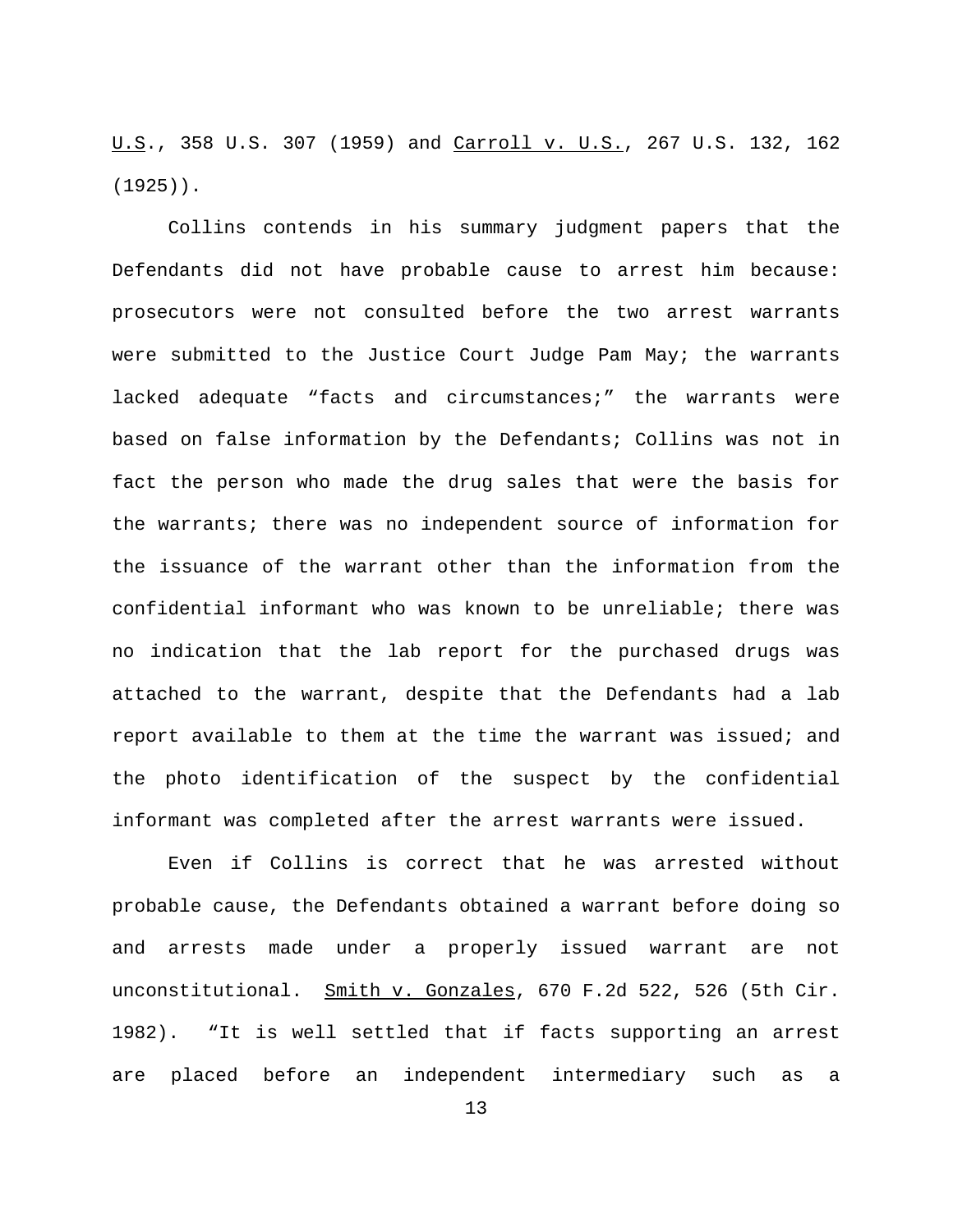U.S., 358 U.S. 307 (1959) and Carroll v. U.S., 267 U.S. 132, 162 (1925)).

Collins contends in his summary judgment papers that the Defendants did not have probable cause to arrest him because: prosecutors were not consulted before the two arrest warrants were submitted to the Justice Court Judge Pam May; the warrants lacked adequate "facts and circumstances;" the warrants were based on false information by the Defendants; Collins was not in fact the person who made the drug sales that were the basis for the warrants; there was no independent source of information for the issuance of the warrant other than the information from the confidential informant who was known to be unreliable; there was no indication that the lab report for the purchased drugs was attached to the warrant, despite that the Defendants had a lab report available to them at the time the warrant was issued; and the photo identification of the suspect by the confidential informant was completed after the arrest warrants were issued.

Even if Collins is correct that he was arrested without probable cause, the Defendants obtained a warrant before doing so and arrests made under a properly issued warrant are not unconstitutional. Smith v. Gonzales, 670 F.2d 522, 526 (5th Cir. 1982). "It is well settled that if facts supporting an arrest are placed before an independent intermediary such as a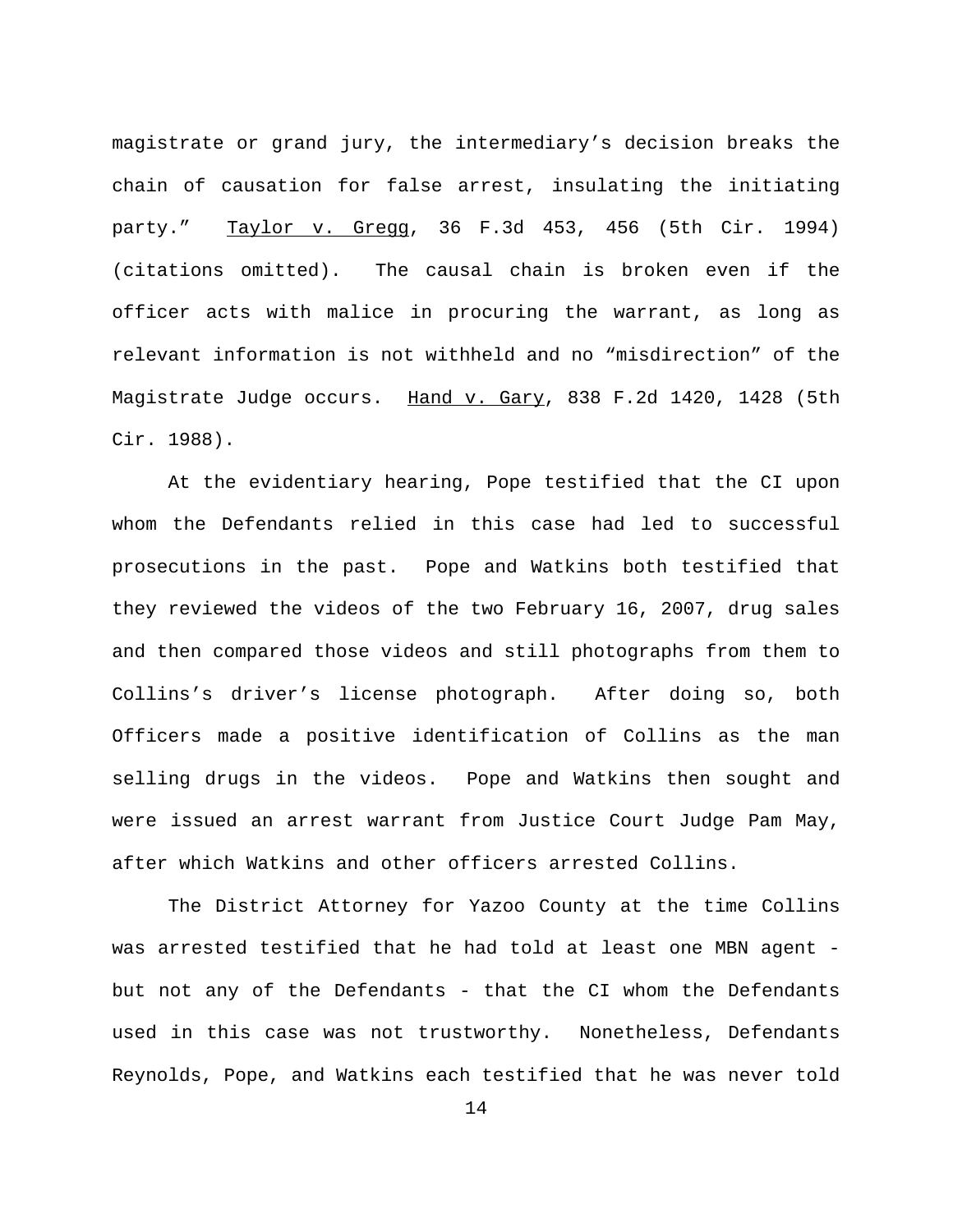magistrate or grand jury, the intermediary's decision breaks the chain of causation for false arrest, insulating the initiating party." Taylor v. Gregg, 36 F.3d 453, 456 (5th Cir. 1994) (citations omitted). The causal chain is broken even if the officer acts with malice in procuring the warrant, as long as relevant information is not withheld and no "misdirection" of the Magistrate Judge occurs. Hand v. Gary, 838 F.2d 1420, 1428 (5th Cir. 1988).

At the evidentiary hearing, Pope testified that the CI upon whom the Defendants relied in this case had led to successful prosecutions in the past. Pope and Watkins both testified that they reviewed the videos of the two February 16, 2007, drug sales and then compared those videos and still photographs from them to Collins's driver's license photograph. After doing so, both Officers made a positive identification of Collins as the man selling drugs in the videos. Pope and Watkins then sought and were issued an arrest warrant from Justice Court Judge Pam May, after which Watkins and other officers arrested Collins.

The District Attorney for Yazoo County at the time Collins was arrested testified that he had told at least one MBN agent but not any of the Defendants - that the CI whom the Defendants used in this case was not trustworthy. Nonetheless, Defendants Reynolds, Pope, and Watkins each testified that he was never told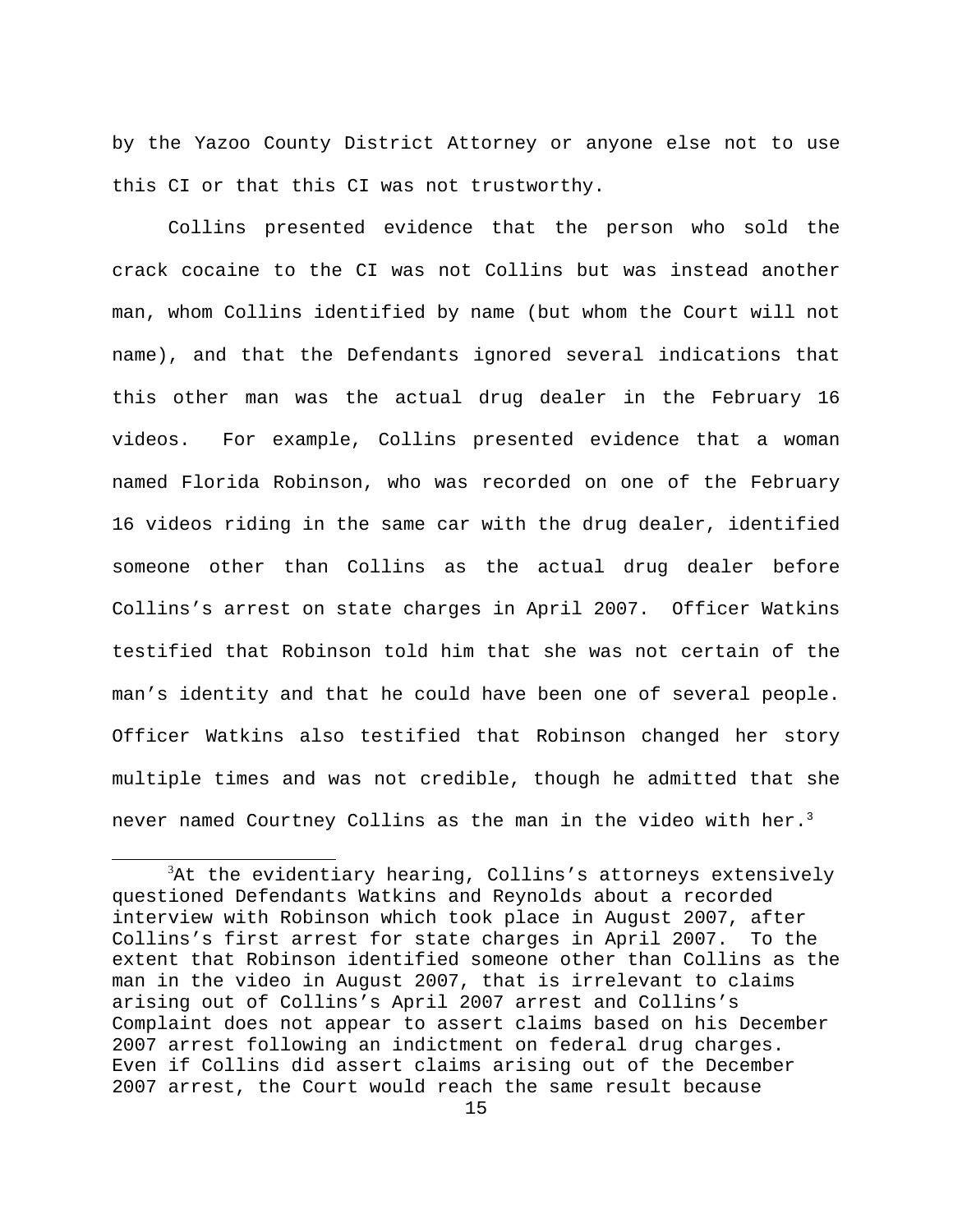by the Yazoo County District Attorney or anyone else not to use this CI or that this CI was not trustworthy.

Collins presented evidence that the person who sold the crack cocaine to the CI was not Collins but was instead another man, whom Collins identified by name (but whom the Court will not name), and that the Defendants ignored several indications that this other man was the actual drug dealer in the February 16 videos. For example, Collins presented evidence that a woman named Florida Robinson, who was recorded on one of the February 16 videos riding in the same car with the drug dealer, identified someone other than Collins as the actual drug dealer before Collins's arrest on state charges in April 2007. Officer Watkins testified that Robinson told him that she was not certain of the man's identity and that he could have been one of several people. Officer Watkins also testified that Robinson changed her story multiple times and was not credible, though he admitted that she never named Courtney Collins as the man in the video with her. $3$ 

 $^3$ At the evidentiary hearing, Collins's attorneys extensively questioned Defendants Watkins and Reynolds about a recorded interview with Robinson which took place in August 2007, after Collins's first arrest for state charges in April 2007. To the extent that Robinson identified someone other than Collins as the man in the video in August 2007, that is irrelevant to claims arising out of Collins's April 2007 arrest and Collins's Complaint does not appear to assert claims based on his December 2007 arrest following an indictment on federal drug charges. Even if Collins did assert claims arising out of the December 2007 arrest, the Court would reach the same result because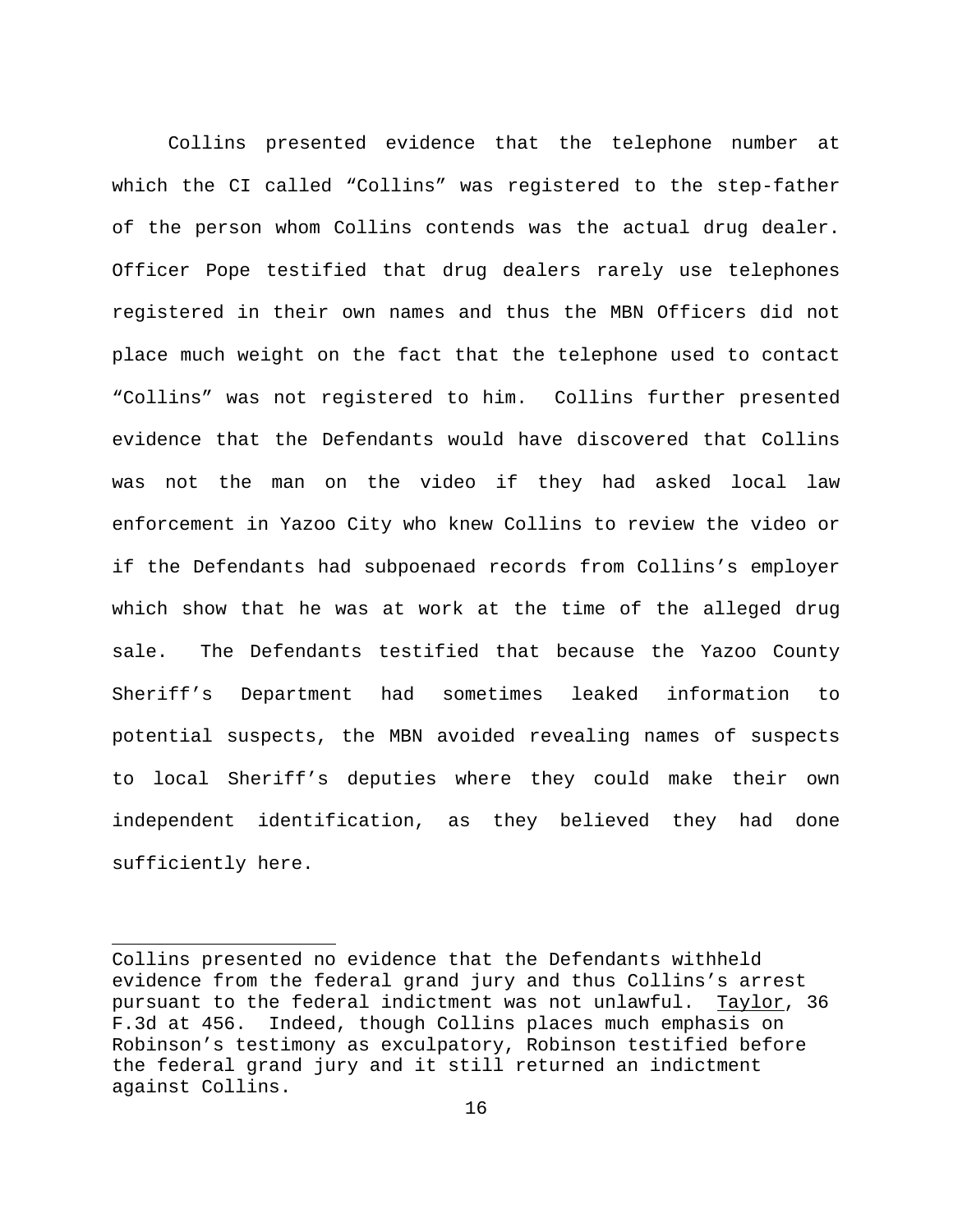Collins presented evidence that the telephone number at which the CI called "Collins" was registered to the step-father of the person whom Collins contends was the actual drug dealer. Officer Pope testified that drug dealers rarely use telephones registered in their own names and thus the MBN Officers did not place much weight on the fact that the telephone used to contact "Collins" was not registered to him. Collins further presented evidence that the Defendants would have discovered that Collins was not the man on the video if they had asked local law enforcement in Yazoo City who knew Collins to review the video or if the Defendants had subpoenaed records from Collins's employer which show that he was at work at the time of the alleged drug sale. The Defendants testified that because the Yazoo County Sheriff's Department had sometimes leaked information to potential suspects, the MBN avoided revealing names of suspects to local Sheriff's deputies where they could make their own independent identification, as they believed they had done sufficiently here.

Collins presented no evidence that the Defendants withheld evidence from the federal grand jury and thus Collins's arrest pursuant to the federal indictment was not unlawful. Taylor, 36 F.3d at 456. Indeed, though Collins places much emphasis on Robinson's testimony as exculpatory, Robinson testified before the federal grand jury and it still returned an indictment against Collins.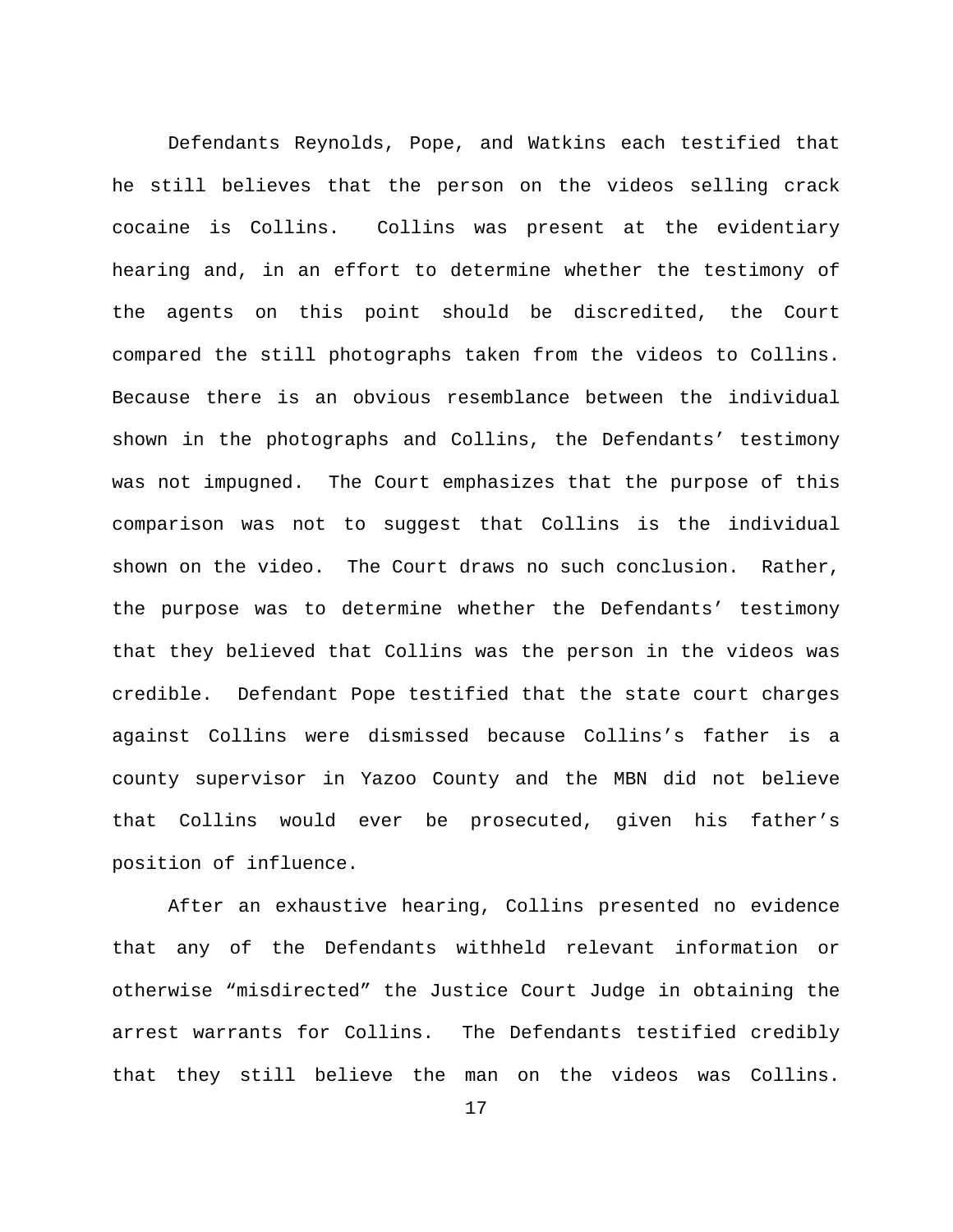Defendants Reynolds, Pope, and Watkins each testified that he still believes that the person on the videos selling crack cocaine is Collins. Collins was present at the evidentiary hearing and, in an effort to determine whether the testimony of the agents on this point should be discredited, the Court compared the still photographs taken from the videos to Collins. Because there is an obvious resemblance between the individual shown in the photographs and Collins, the Defendants' testimony was not impugned. The Court emphasizes that the purpose of this comparison was not to suggest that Collins is the individual shown on the video. The Court draws no such conclusion. Rather, the purpose was to determine whether the Defendants' testimony that they believed that Collins was the person in the videos was credible. Defendant Pope testified that the state court charges against Collins were dismissed because Collins's father is a county supervisor in Yazoo County and the MBN did not believe that Collins would ever be prosecuted, given his father's position of influence.

After an exhaustive hearing, Collins presented no evidence that any of the Defendants withheld relevant information or otherwise "misdirected" the Justice Court Judge in obtaining the arrest warrants for Collins. The Defendants testified credibly that they still believe the man on the videos was Collins.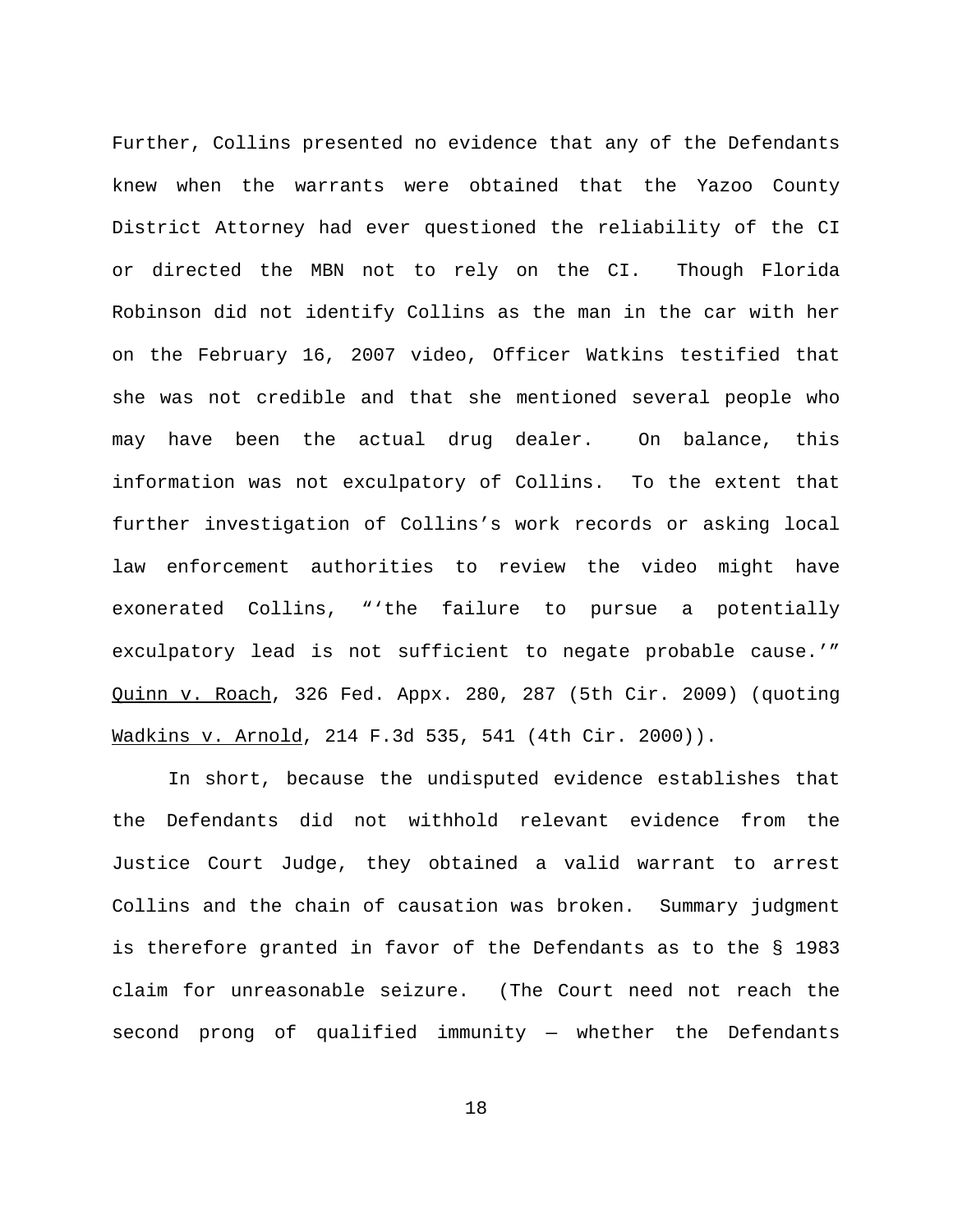Further, Collins presented no evidence that any of the Defendants knew when the warrants were obtained that the Yazoo County District Attorney had ever questioned the reliability of the CI or directed the MBN not to rely on the CI. Though Florida Robinson did not identify Collins as the man in the car with her on the February 16, 2007 video, Officer Watkins testified that she was not credible and that she mentioned several people who may have been the actual drug dealer. On balance, this information was not exculpatory of Collins. To the extent that further investigation of Collins's work records or asking local law enforcement authorities to review the video might have exonerated Collins, "'the failure to pursue a potentially exculpatory lead is not sufficient to negate probable cause.'" Quinn v. Roach, 326 Fed. Appx. 280, 287 (5th Cir. 2009) (quoting Wadkins v. Arnold, 214 F.3d 535, 541 (4th Cir. 2000)).

In short, because the undisputed evidence establishes that the Defendants did not withhold relevant evidence from the Justice Court Judge, they obtained a valid warrant to arrest Collins and the chain of causation was broken. Summary judgment is therefore granted in favor of the Defendants as to the § 1983 claim for unreasonable seizure. (The Court need not reach the second prong of qualified immunity — whether the Defendants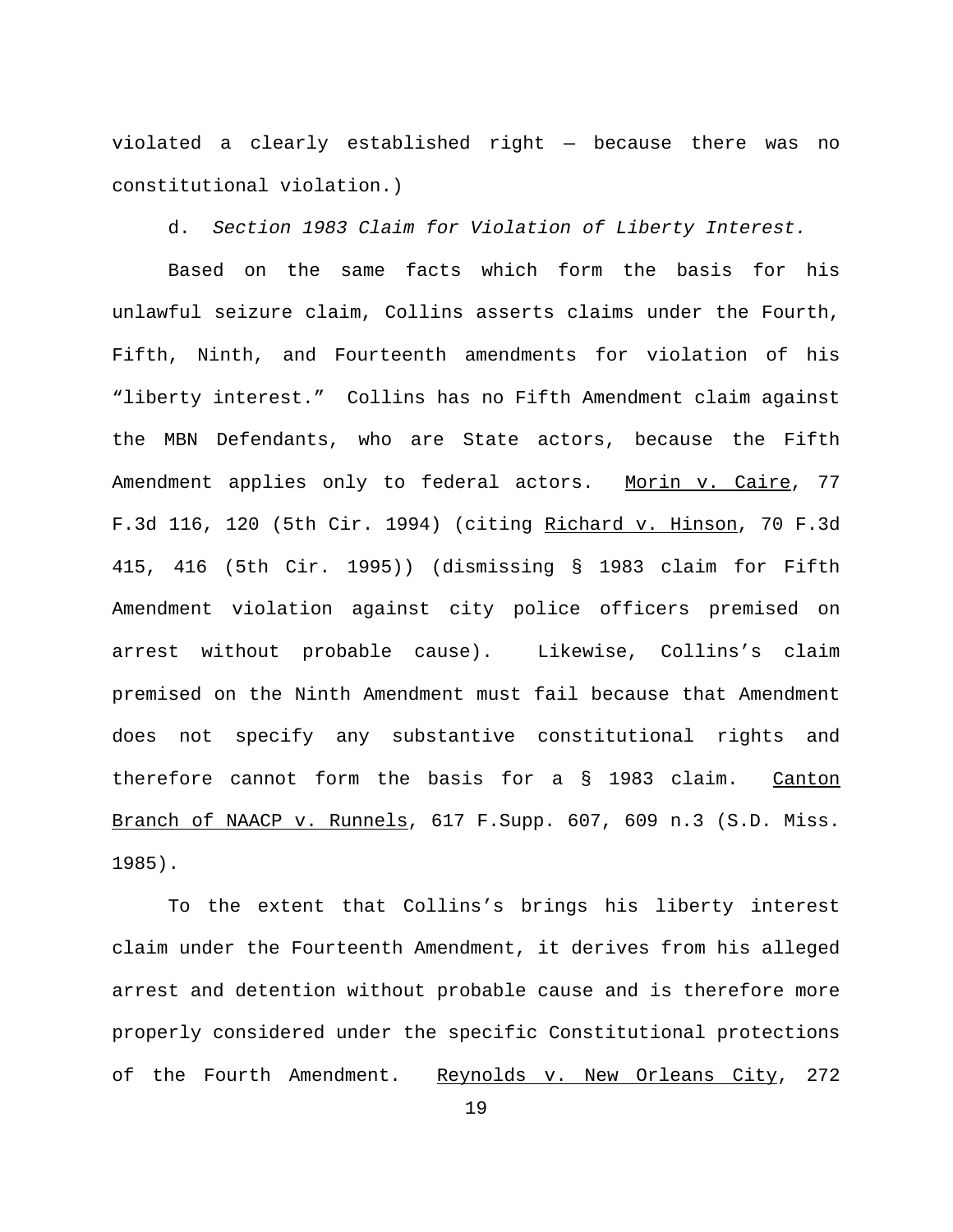violated a clearly established right — because there was no constitutional violation.)

d. *Section 1983 Claim for Violation of Liberty Interest.*

Based on the same facts which form the basis for his unlawful seizure claim, Collins asserts claims under the Fourth, Fifth, Ninth, and Fourteenth amendments for violation of his "liberty interest." Collins has no Fifth Amendment claim against the MBN Defendants, who are State actors, because the Fifth Amendment applies only to federal actors. Morin v. Caire, 77 F.3d 116, 120 (5th Cir. 1994) (citing Richard v. Hinson, 70 F.3d 415, 416 (5th Cir. 1995)) (dismissing § 1983 claim for Fifth Amendment violation against city police officers premised on arrest without probable cause). Likewise, Collins's claim premised on the Ninth Amendment must fail because that Amendment does not specify any substantive constitutional rights and therefore cannot form the basis for a § 1983 claim. Canton Branch of NAACP v. Runnels, 617 F.Supp. 607, 609 n.3 (S.D. Miss. 1985).

To the extent that Collins's brings his liberty interest claim under the Fourteenth Amendment, it derives from his alleged arrest and detention without probable cause and is therefore more properly considered under the specific Constitutional protections of the Fourth Amendment. Reynolds v. New Orleans City, 272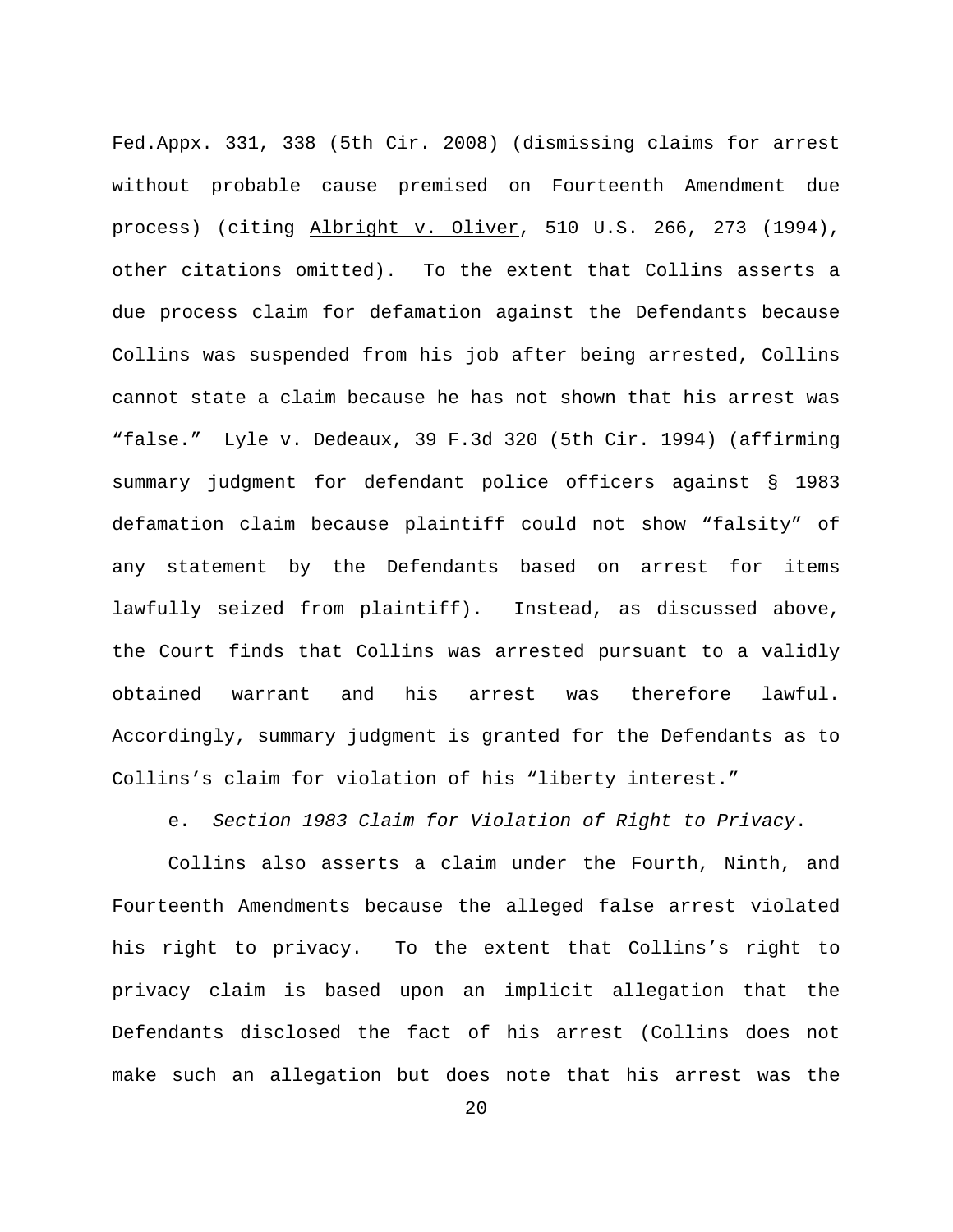Fed.Appx. 331, 338 (5th Cir. 2008) (dismissing claims for arrest without probable cause premised on Fourteenth Amendment due process) (citing Albright v. Oliver, 510 U.S. 266, 273 (1994), other citations omitted). To the extent that Collins asserts a due process claim for defamation against the Defendants because Collins was suspended from his job after being arrested, Collins cannot state a claim because he has not shown that his arrest was "false." Lyle v. Dedeaux, 39 F.3d 320 (5th Cir. 1994) (affirming summary judgment for defendant police officers against § 1983 defamation claim because plaintiff could not show "falsity" of any statement by the Defendants based on arrest for items lawfully seized from plaintiff). Instead, as discussed above, the Court finds that Collins was arrested pursuant to a validly obtained warrant and his arrest was therefore lawful. Accordingly, summary judgment is granted for the Defendants as to Collins's claim for violation of his "liberty interest."

e. *Section 1983 Claim for Violation of Right to Privacy*.

Collins also asserts a claim under the Fourth, Ninth, and Fourteenth Amendments because the alleged false arrest violated his right to privacy. To the extent that Collins's right to privacy claim is based upon an implicit allegation that the Defendants disclosed the fact of his arrest (Collins does not make such an allegation but does note that his arrest was the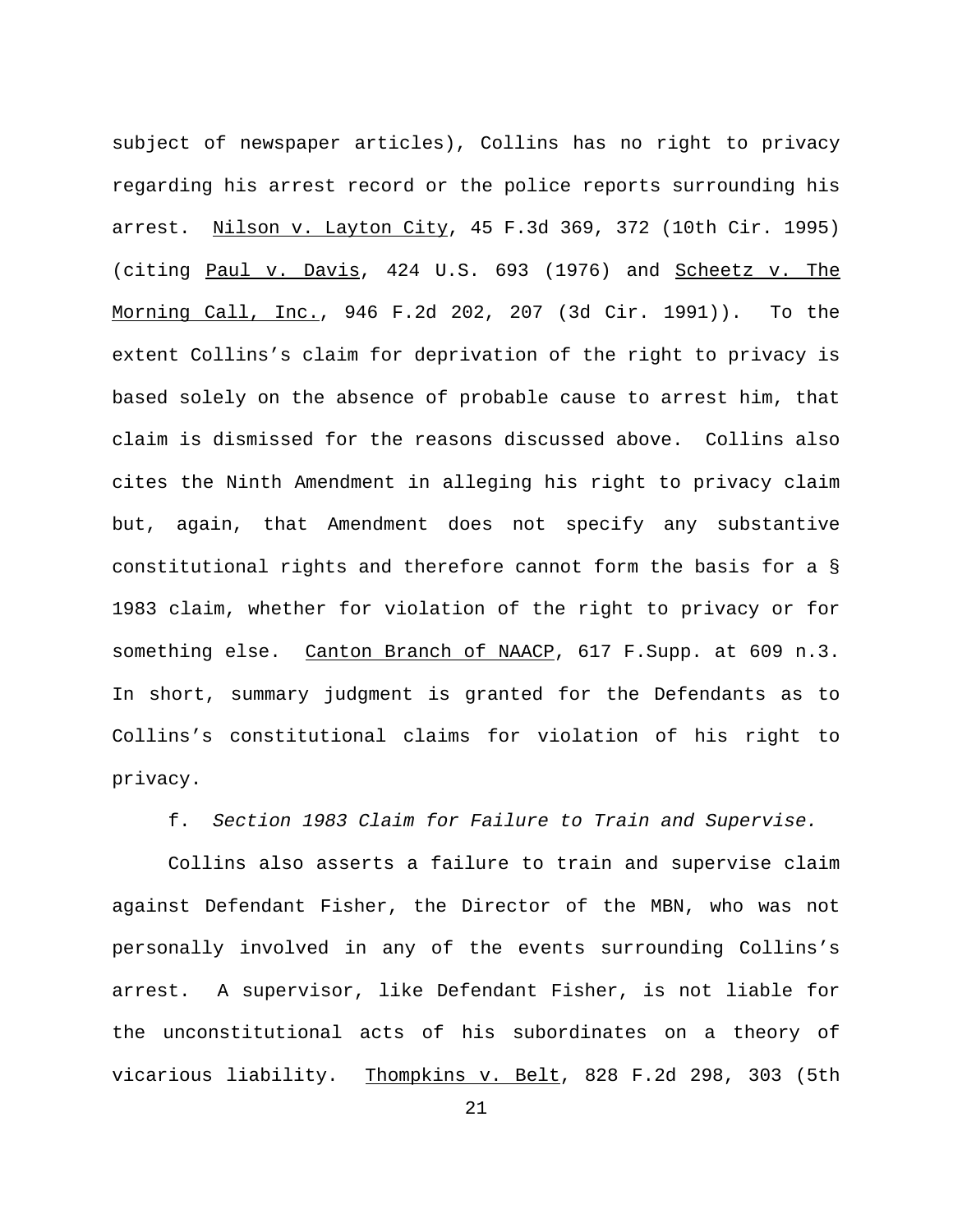subject of newspaper articles), Collins has no right to privacy regarding his arrest record or the police reports surrounding his arrest. Nilson v. Layton City, 45 F.3d 369, 372 (10th Cir. 1995) (citing Paul v. Davis, 424 U.S. 693 (1976) and Scheetz v. The Morning Call, Inc., 946 F.2d 202, 207 (3d Cir. 1991)). To the extent Collins's claim for deprivation of the right to privacy is based solely on the absence of probable cause to arrest him, that claim is dismissed for the reasons discussed above. Collins also cites the Ninth Amendment in alleging his right to privacy claim but, again, that Amendment does not specify any substantive constitutional rights and therefore cannot form the basis for a § 1983 claim, whether for violation of the right to privacy or for something else. Canton Branch of NAACP, 617 F.Supp. at 609 n.3. In short, summary judgment is granted for the Defendants as to Collins's constitutional claims for violation of his right to privacy.

f. *Section 1983 Claim for Failure to Train and Supervise.* 

Collins also asserts a failure to train and supervise claim against Defendant Fisher, the Director of the MBN, who was not personally involved in any of the events surrounding Collins's arrest. A supervisor, like Defendant Fisher, is not liable for the unconstitutional acts of his subordinates on a theory of vicarious liability. Thompkins v. Belt, 828 F.2d 298, 303 (5th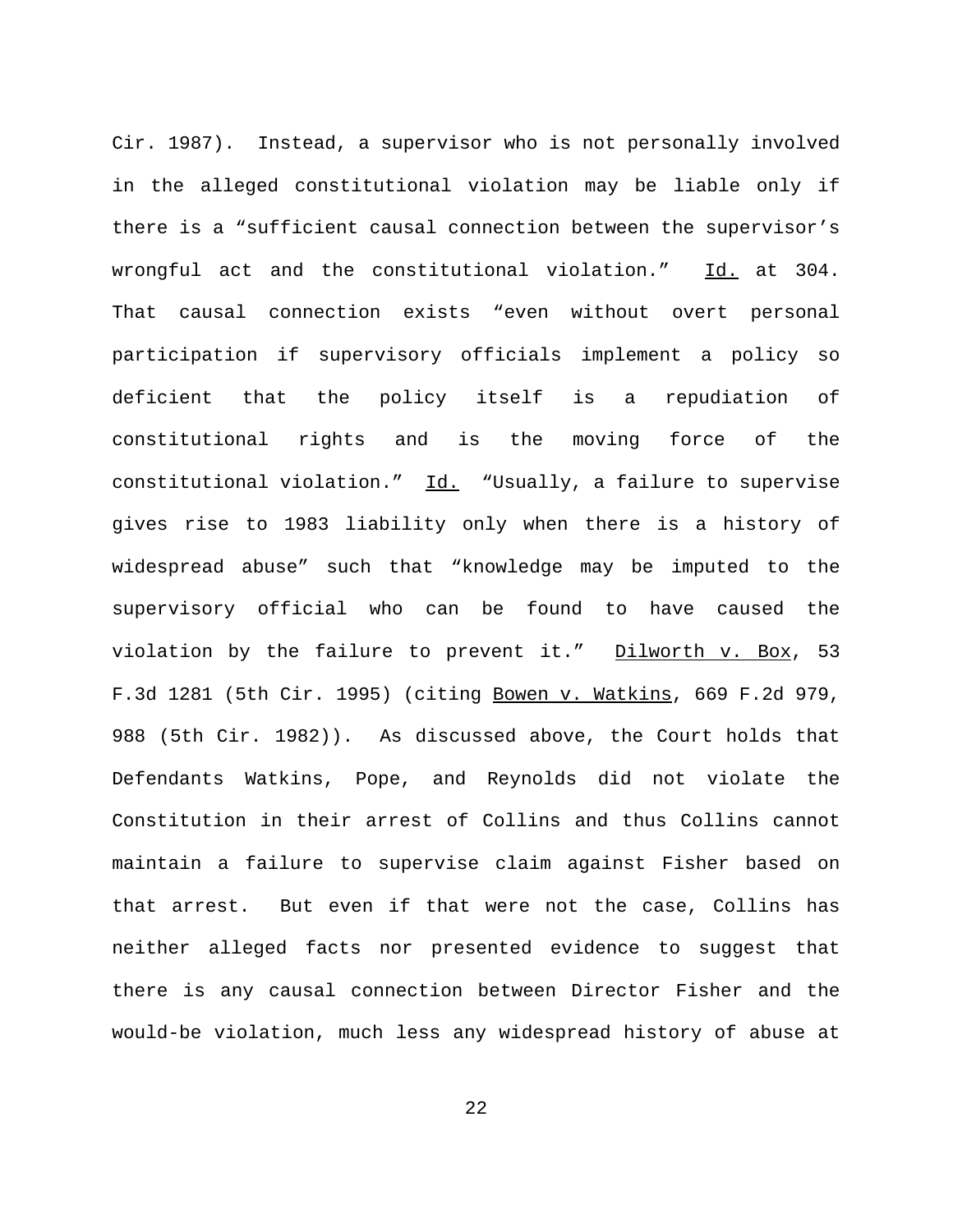Cir. 1987). Instead, a supervisor who is not personally involved in the alleged constitutional violation may be liable only if there is a "sufficient causal connection between the supervisor's wrongful act and the constitutional violation." Id. at 304. That causal connection exists "even without overt personal participation if supervisory officials implement a policy so deficient that the policy itself is a repudiation of constitutional rights and is the moving force of the constitutional violation." Id. "Usually, a failure to supervise gives rise to 1983 liability only when there is a history of widespread abuse" such that "knowledge may be imputed to the supervisory official who can be found to have caused the violation by the failure to prevent it." Dilworth v. Box, 53 F.3d 1281 (5th Cir. 1995) (citing Bowen v. Watkins, 669 F.2d 979, 988 (5th Cir. 1982)). As discussed above, the Court holds that Defendants Watkins, Pope, and Reynolds did not violate the Constitution in their arrest of Collins and thus Collins cannot maintain a failure to supervise claim against Fisher based on that arrest. But even if that were not the case, Collins has neither alleged facts nor presented evidence to suggest that there is any causal connection between Director Fisher and the would-be violation, much less any widespread history of abuse at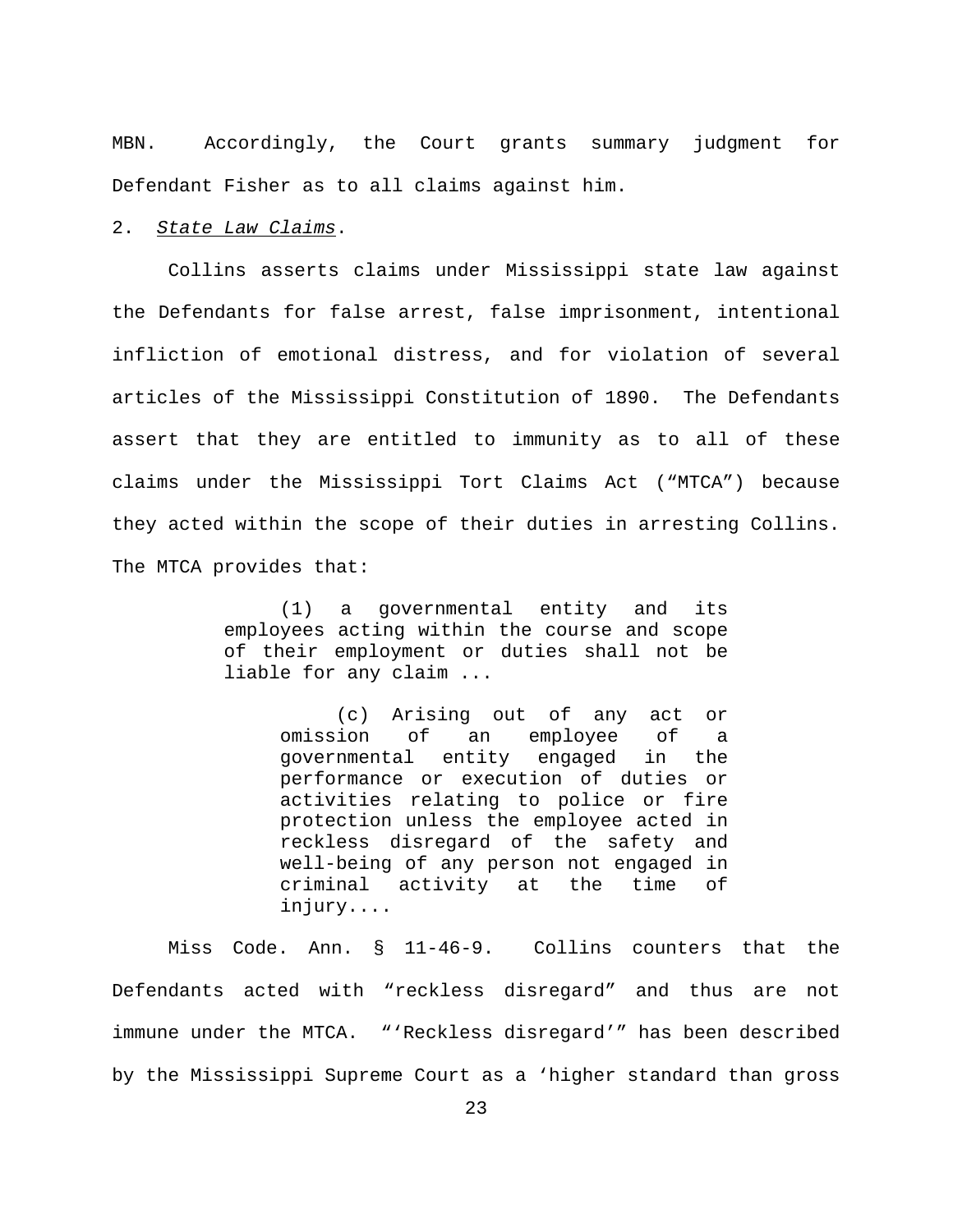MBN. Accordingly, the Court grants summary judgment for Defendant Fisher as to all claims against him.

### 2. *State Law Claims*.

Collins asserts claims under Mississippi state law against the Defendants for false arrest, false imprisonment, intentional infliction of emotional distress, and for violation of several articles of the Mississippi Constitution of 1890. The Defendants assert that they are entitled to immunity as to all of these claims under the Mississippi Tort Claims Act ("MTCA") because they acted within the scope of their duties in arresting Collins. The MTCA provides that:

> (1) a governmental entity and its employees acting within the course and scope of their employment or duties shall not be liable for any claim ...

> > (c) Arising out of any act or omission of an employee of a governmental entity engaged in the performance or execution of duties or activities relating to police or fire protection unless the employee acted in reckless disregard of the safety and well-being of any person not engaged in criminal activity at the time of injury....

Miss Code. Ann. § 11-46-9. Collins counters that the Defendants acted with "reckless disregard" and thus are not immune under the MTCA. "'Reckless disregard'" has been described by the Mississippi Supreme Court as a 'higher standard than gross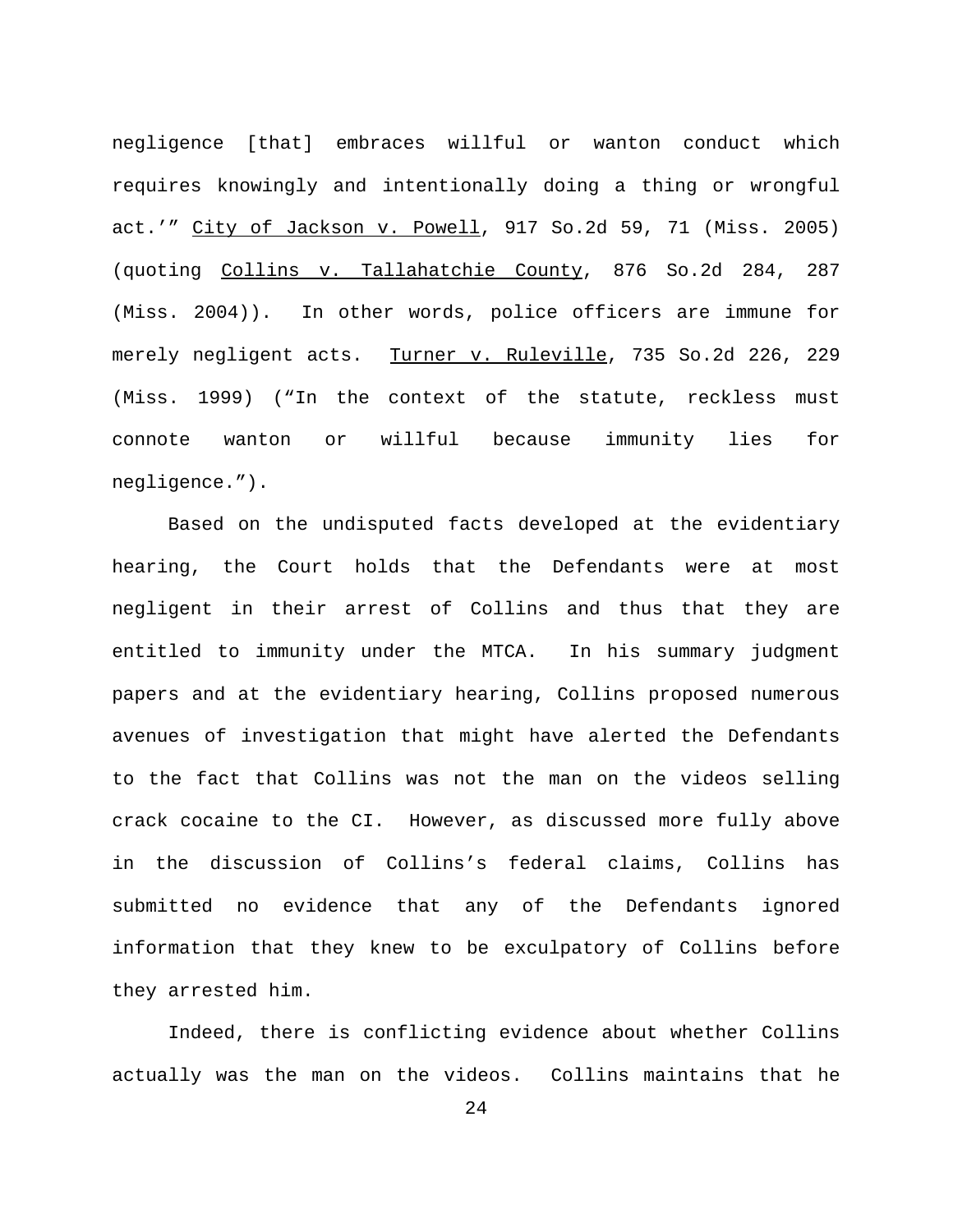negligence [that] embraces willful or wanton conduct which requires knowingly and intentionally doing a thing or wrongful act.'" City of Jackson v. Powell, 917 So.2d 59, 71 (Miss. 2005) (quoting Collins v. Tallahatchie County, 876 So.2d 284, 287 (Miss. 2004)). In other words, police officers are immune for merely negligent acts. Turner v. Ruleville, 735 So.2d 226, 229 (Miss. 1999) ("In the context of the statute, reckless must connote wanton or willful because immunity lies for negligence.").

Based on the undisputed facts developed at the evidentiary hearing, the Court holds that the Defendants were at most negligent in their arrest of Collins and thus that they are entitled to immunity under the MTCA. In his summary judgment papers and at the evidentiary hearing, Collins proposed numerous avenues of investigation that might have alerted the Defendants to the fact that Collins was not the man on the videos selling crack cocaine to the CI. However, as discussed more fully above in the discussion of Collins's federal claims, Collins has submitted no evidence that any of the Defendants ignored information that they knew to be exculpatory of Collins before they arrested him.

Indeed, there is conflicting evidence about whether Collins actually was the man on the videos. Collins maintains that he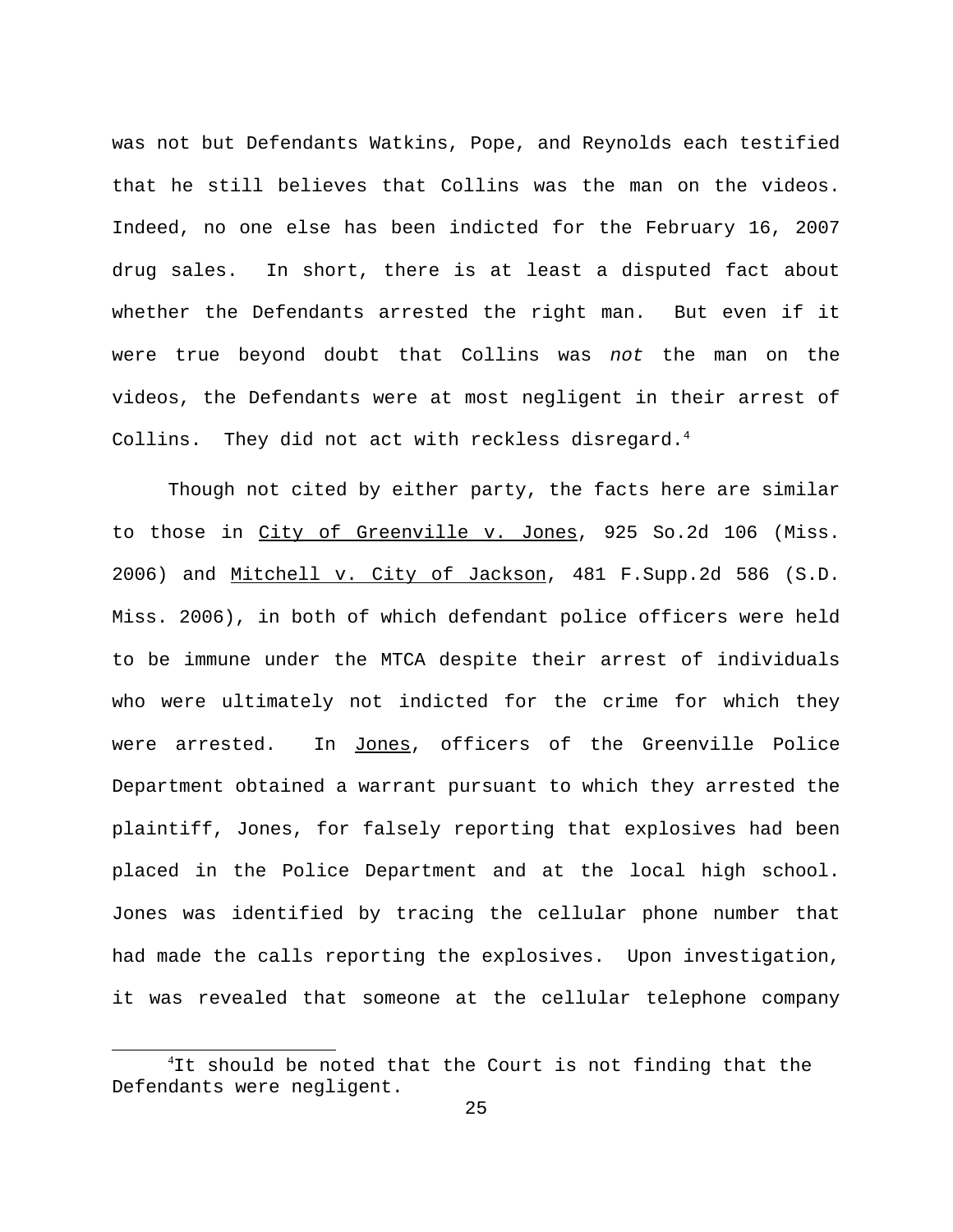was not but Defendants Watkins, Pope, and Reynolds each testified that he still believes that Collins was the man on the videos. Indeed, no one else has been indicted for the February 16, 2007 drug sales. In short, there is at least a disputed fact about whether the Defendants arrested the right man. But even if it were true beyond doubt that Collins was *not* the man on the videos, the Defendants were at most negligent in their arrest of Collins. They did not act with reckless disregard. $4$ 

Though not cited by either party, the facts here are similar to those in City of Greenville v. Jones, 925 So.2d 106 (Miss. 2006) and Mitchell v. City of Jackson, 481 F.Supp.2d 586 (S.D. Miss. 2006), in both of which defendant police officers were held to be immune under the MTCA despite their arrest of individuals who were ultimately not indicted for the crime for which they were arrested. In Jones, officers of the Greenville Police Department obtained a warrant pursuant to which they arrested the plaintiff, Jones, for falsely reporting that explosives had been placed in the Police Department and at the local high school. Jones was identified by tracing the cellular phone number that had made the calls reporting the explosives. Upon investigation, it was revealed that someone at the cellular telephone company

<sup>&</sup>lt;sup>4</sup>It should be noted that the Court is not finding that the Defendants were negligent.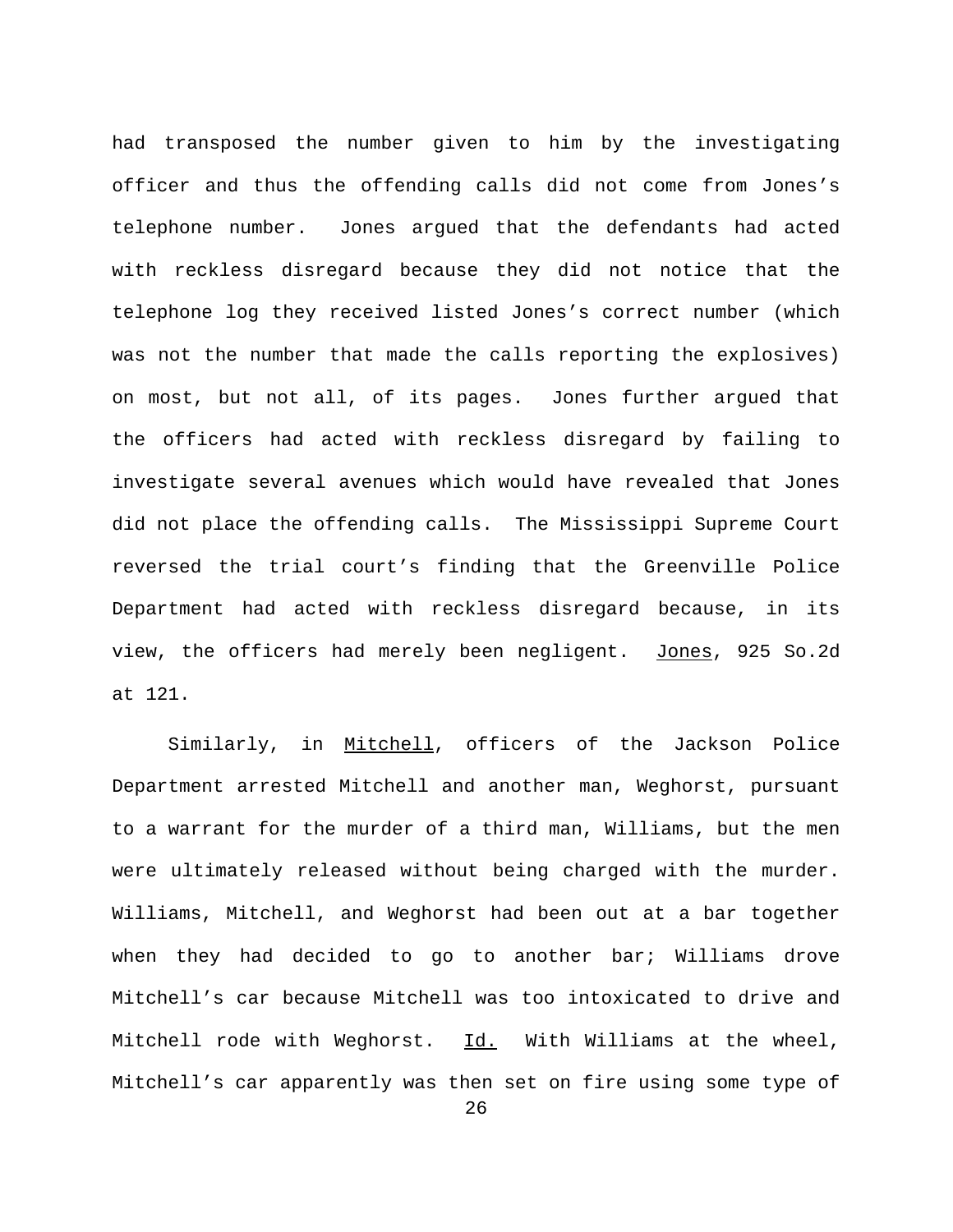had transposed the number given to him by the investigating officer and thus the offending calls did not come from Jones's telephone number. Jones argued that the defendants had acted with reckless disregard because they did not notice that the telephone log they received listed Jones's correct number (which was not the number that made the calls reporting the explosives) on most, but not all, of its pages. Jones further argued that the officers had acted with reckless disregard by failing to investigate several avenues which would have revealed that Jones did not place the offending calls. The Mississippi Supreme Court reversed the trial court's finding that the Greenville Police Department had acted with reckless disregard because, in its view, the officers had merely been negligent. Jones, 925 So.2d at 121.

Similarly, in Mitchell, officers of the Jackson Police Department arrested Mitchell and another man, Weghorst, pursuant to a warrant for the murder of a third man, Williams, but the men were ultimately released without being charged with the murder. Williams, Mitchell, and Weghorst had been out at a bar together when they had decided to go to another bar; Williams drove Mitchell's car because Mitchell was too intoxicated to drive and Mitchell rode with Weghorst. Id. With Williams at the wheel, Mitchell's car apparently was then set on fire using some type of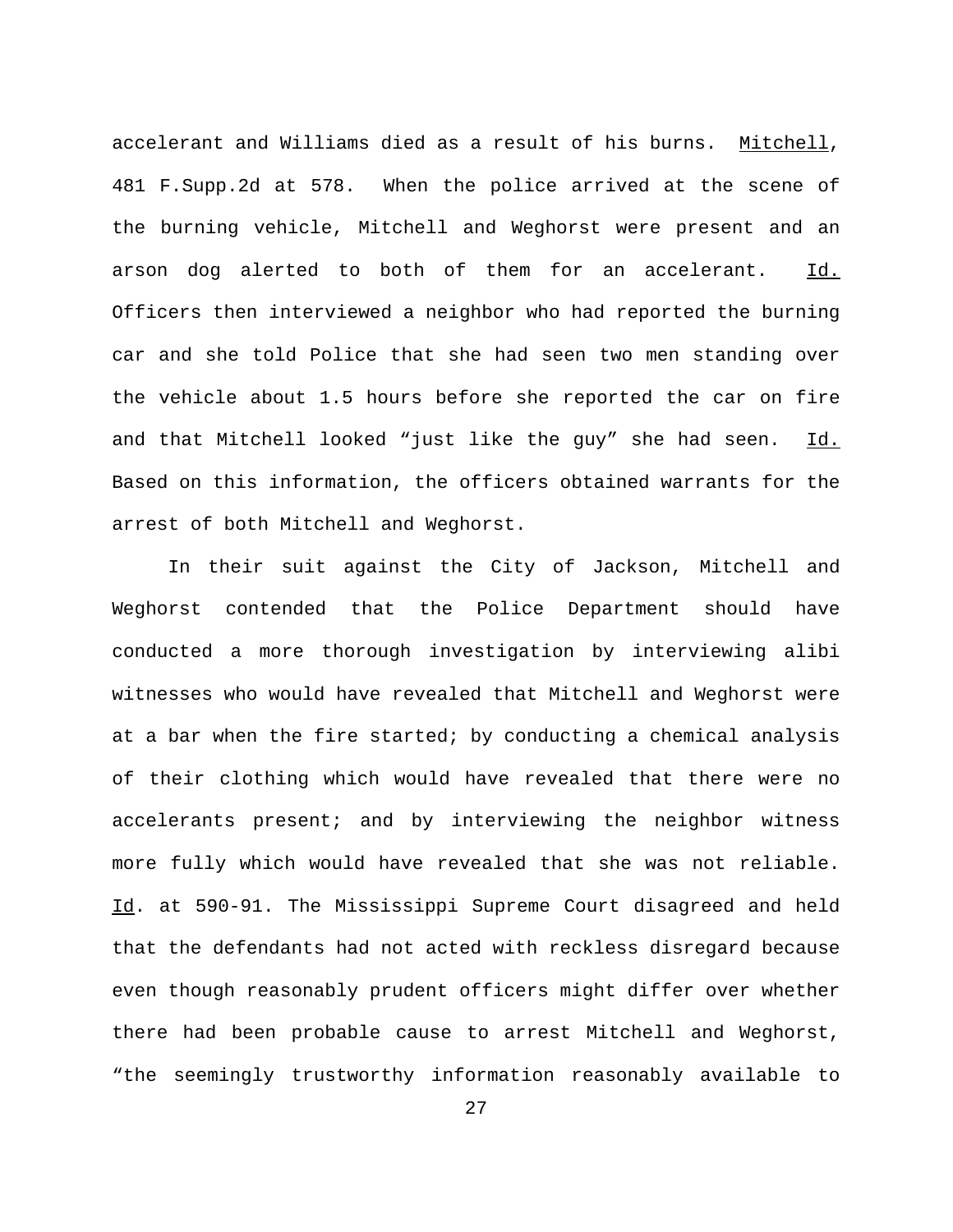accelerant and Williams died as a result of his burns. Mitchell, 481 F.Supp.2d at 578. When the police arrived at the scene of the burning vehicle, Mitchell and Weghorst were present and an arson dog alerted to both of them for an accelerant. Id. Officers then interviewed a neighbor who had reported the burning car and she told Police that she had seen two men standing over the vehicle about 1.5 hours before she reported the car on fire and that Mitchell looked "just like the guy" she had seen. Id. Based on this information, the officers obtained warrants for the arrest of both Mitchell and Weghorst.

In their suit against the City of Jackson, Mitchell and Weghorst contended that the Police Department should have conducted a more thorough investigation by interviewing alibi witnesses who would have revealed that Mitchell and Weghorst were at a bar when the fire started; by conducting a chemical analysis of their clothing which would have revealed that there were no accelerants present; and by interviewing the neighbor witness more fully which would have revealed that she was not reliable. Id. at 590-91. The Mississippi Supreme Court disagreed and held that the defendants had not acted with reckless disregard because even though reasonably prudent officers might differ over whether there had been probable cause to arrest Mitchell and Weghorst, "the seemingly trustworthy information reasonably available to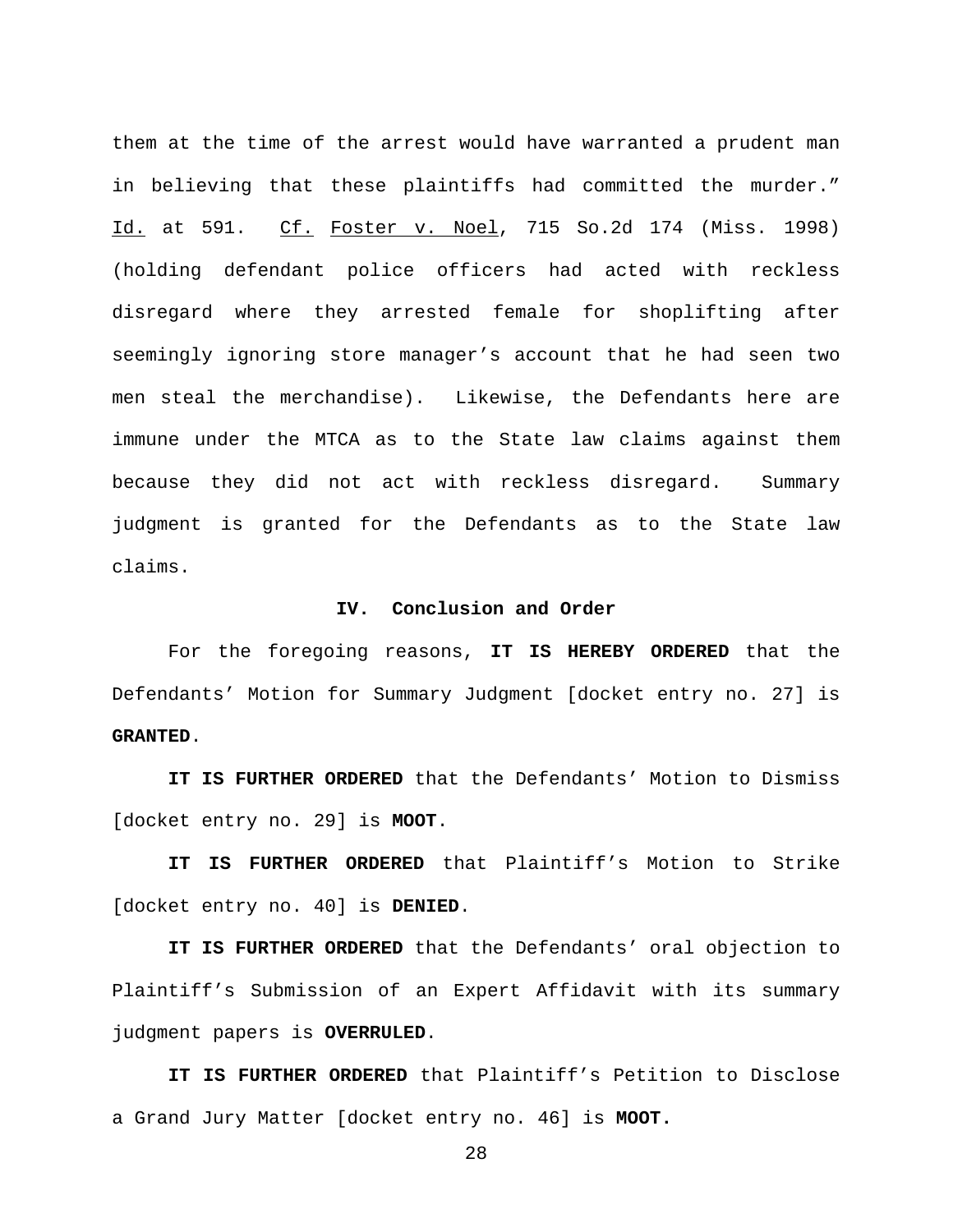them at the time of the arrest would have warranted a prudent man in believing that these plaintiffs had committed the murder." Id. at 591. Cf. Foster v. Noel, 715 So.2d 174 (Miss. 1998) (holding defendant police officers had acted with reckless disregard where they arrested female for shoplifting after seemingly ignoring store manager's account that he had seen two men steal the merchandise). Likewise, the Defendants here are immune under the MTCA as to the State law claims against them because they did not act with reckless disregard. Summary judgment is granted for the Defendants as to the State law claims.

## **IV. Conclusion and Order**

For the foregoing reasons, **IT IS HEREBY ORDERED** that the Defendants' Motion for Summary Judgment [docket entry no. 27] is **GRANTED**.

**IT IS FURTHER ORDERED** that the Defendants' Motion to Dismiss [docket entry no. 29] is **MOOT**.

**IT IS FURTHER ORDERED** that Plaintiff's Motion to Strike [docket entry no. 40] is **DENIED**.

**IT IS FURTHER ORDERED** that the Defendants' oral objection to Plaintiff's Submission of an Expert Affidavit with its summary judgment papers is **OVERRULED**.

**IT IS FURTHER ORDERED** that Plaintiff's Petition to Disclose a Grand Jury Matter [docket entry no. 46] is **MOOT.**